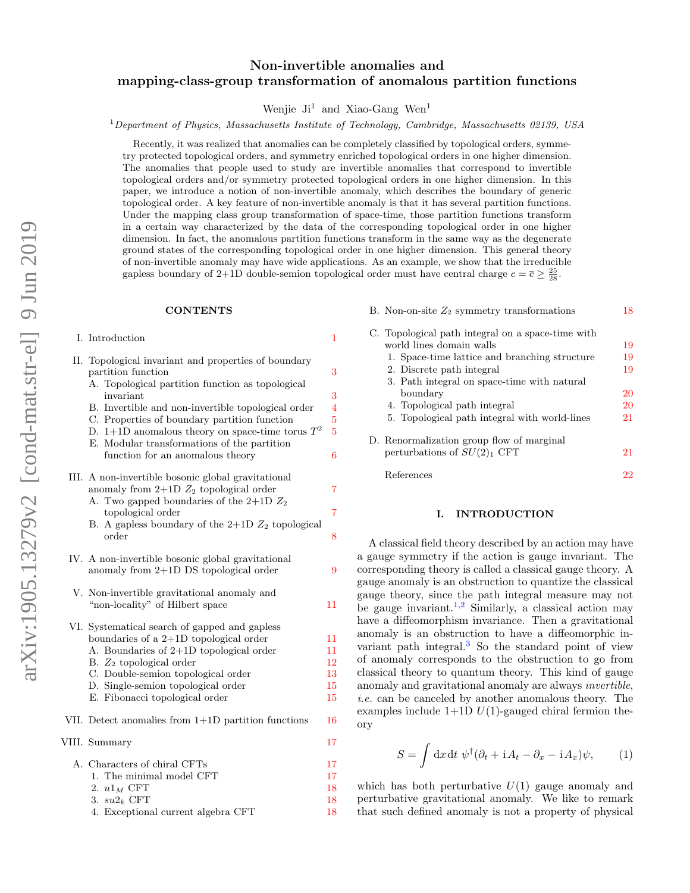# Non-invertible anomalies and mapping-class-group transformation of anomalous partition functions

# Wenjie  $J_i^1$  and Xiao-Gang Wen<sup>1</sup>

### $1$  Department of Physics, Massachusetts Institute of Technology, Cambridge, Massachusetts 02139, USA

Recently, it was realized that anomalies can be completely classified by topological orders, symmetry protected topological orders, and symmetry enriched topological orders in one higher dimension. The anomalies that people used to study are invertible anomalies that correspond to invertible topological orders and/or symmetry protected topological orders in one higher dimension. In this paper, we introduce a notion of non-invertible anomaly, which describes the boundary of generic topological order. A key feature of non-invertible anomaly is that it has several partition functions. Under the mapping class group transformation of space-time, those partition functions transform in a certain way characterized by the data of the corresponding topological order in one higher dimension. In fact, the anomalous partition functions transform in the same way as the degenerate ground states of the corresponding topological order in one higher dimension. This general theory of non-invertible anomaly may have wide applications. As an example, we show that the irreducible gapless boundary of 2+1D double-semion topological order must have central charge  $c = \bar{c} \ge \frac{25}{28}$ .

#### **CONTENTS**

I. Introduction [1](#page-0-0)

|  | II. Topological invariant and properties of boundary<br>partition function                        | 3              |
|--|---------------------------------------------------------------------------------------------------|----------------|
|  | A. Topological partition function as topological<br>invariant                                     | 3              |
|  | B. Invertible and non-invertible topological order                                                | 4              |
|  | C. Properties of boundary partition function                                                      | $\overline{5}$ |
|  | D. 1+1D anomalous theory on space-time torus $T^2$<br>E. Modular transformations of the partition | $\overline{5}$ |
|  | function for an anomalous theory                                                                  | 6              |
|  | III. A non-invertible bosonic global gravitational                                                |                |
|  | anomaly from $2+1D Z_2$ topological order                                                         | 7              |
|  | A. Two gapped boundaries of the $2+1D Z_2$<br>topological order                                   | $\overline{7}$ |
|  | B. A gapless boundary of the $2+1D$ $Z_2$ topological                                             |                |
|  | order                                                                                             | 8              |
|  | IV. A non-invertible bosonic global gravitational                                                 |                |
|  | anomaly from $2+1D$ DS topological order                                                          | 9              |
|  | V. Non-invertible gravitational anomaly and                                                       |                |
|  | "non-locality" of Hilbert space                                                                   | 11             |
|  | VI. Systematical search of gapped and gapless                                                     |                |
|  | boundaries of a $2+1D$ topological order                                                          | 11             |
|  | A. Boundaries of $2+1D$ topological order                                                         | 11             |
|  | B. $Z_2$ topological order                                                                        | 12             |
|  | C. Double-semion topological order                                                                | 13             |
|  | D. Single-semion topological order<br>E. Fibonacci topological order                              | 15<br>15       |
|  |                                                                                                   |                |
|  | VII. Detect anomalies from $1+1D$ partition functions                                             | 16             |
|  | VIII. Summary                                                                                     | 17             |
|  | A. Characters of chiral CFTs                                                                      | 17             |
|  | 1. The minimal model CFT                                                                          | 17             |
|  | 2. $u1_M$ CFT                                                                                     | 18             |
|  | 3. $su2_k$ CFT                                                                                    | 18             |

4. Exceptional current algebra CFT [18](#page-17-2)

| B. Non-on-site $Z_2$ symmetry transformations     | 18 |
|---------------------------------------------------|----|
| C. Topological path integral on a space-time with |    |
| world lines domain walls                          | 19 |
| 1. Space-time lattice and branching structure     | 19 |
| 2. Discrete path integral                         | 19 |
| 3. Path integral on space-time with natural       |    |
| boundary                                          | 20 |
| 4. Topological path integral                      | 20 |
| 5. Topological path integral with world-lines     | 21 |
| D. Renormalization group flow of marginal         |    |
| perturbations of $SU(2)_1$ CFT                    | 21 |
|                                                   |    |

### <span id="page-0-0"></span>I. INTRODUCTION

References [22](#page-21-0)

A classical field theory described by an action may have a gauge symmetry if the action is gauge invariant. The corresponding theory is called a classical gauge theory. A gauge anomaly is an obstruction to quantize the classical gauge theory, since the path integral measure may not be gauge invariant.<sup>[1,](#page-21-1)[2](#page-21-2)</sup> Similarly, a classical action may have a diffeomorphism invariance. Then a gravitational anomaly is an obstruction to have a diffeomorphic invariant path integral.[3](#page-21-3) So the standard point of view of anomaly corresponds to the obstruction to go from classical theory to quantum theory. This kind of gauge anomaly and gravitational anomaly are always invertible, i.e. can be canceled by another anomalous theory. The examples include  $1+1D U(1)$ -gauged chiral fermion theory

$$
S = \int dx dt \, \psi^{\dagger} (\partial_t + i A_t - \partial_x - i A_x) \psi, \qquad (1)
$$

which has both perturbative  $U(1)$  gauge anomaly and perturbative gravitational anomaly. We like to remark that such defined anomaly is not a property of physical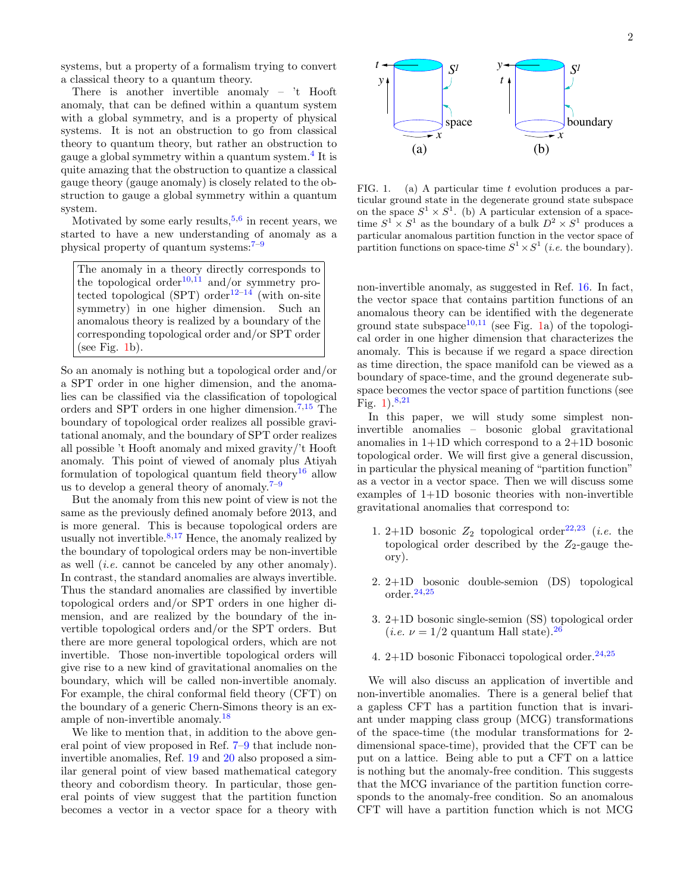systems, but a property of a formalism trying to convert a classical theory to a quantum theory.

There is another invertible anomaly – 't Hooft anomaly, that can be defined within a quantum system with a global symmetry, and is a property of physical systems. It is not an obstruction to go from classical theory to quantum theory, but rather an obstruction to gauge a global symmetry within a quantum system.<sup>[4](#page-21-4)</sup> It is quite amazing that the obstruction to quantize a classical gauge theory (gauge anomaly) is closely related to the obstruction to gauge a global symmetry within a quantum system.

Motivated by some early results,  $5,6$  $5,6$  in recent years, we started to have a new understanding of anomaly as a physical property of quantum systems:[7–](#page-21-7)[9](#page-21-8)

The anomaly in a theory directly corresponds to the topological order<sup>[10](#page-21-9)[,11](#page-21-10)</sup> and/or symmetry pro-tected topological (SPT) order<sup>[12](#page-21-11)[–14](#page-21-12)</sup> (with on-site symmetry) in one higher dimension. Such an anomalous theory is realized by a boundary of the corresponding topological order and/or SPT order (see Fig. [1b](#page-1-0)).

So an anomaly is nothing but a topological order and/or a SPT order in one higher dimension, and the anomalies can be classified via the classification of topological orders and SPT orders in one higher dimension.<sup>[7,](#page-21-7)[15](#page-21-13)</sup> The boundary of topological order realizes all possible gravitational anomaly, and the boundary of SPT order realizes all possible 't Hooft anomaly and mixed gravity/'t Hooft anomaly. This point of viewed of anomaly plus Atiyah formulation of topological quantum field theory<sup>[16](#page-21-14)</sup> allow us to develop a general theory of anomaly.<sup>[7–](#page-21-7)[9](#page-21-8)</sup>

But the anomaly from this new point of view is not the same as the previously defined anomaly before 2013, and is more general. This is because topological orders are usually not invertible. $8,17$  $8,17$  Hence, the anomaly realized by the boundary of topological orders may be non-invertible as well (i.e. cannot be canceled by any other anomaly). In contrast, the standard anomalies are always invertible. Thus the standard anomalies are classified by invertible topological orders and/or SPT orders in one higher dimension, and are realized by the boundary of the invertible topological orders and/or the SPT orders. But there are more general topological orders, which are not invertible. Those non-invertible topological orders will give rise to a new kind of gravitational anomalies on the boundary, which will be called non-invertible anomaly. For example, the chiral conformal field theory (CFT) on the boundary of a generic Chern-Simons theory is an example of non-invertible anomaly.[18](#page-21-17)

We like to mention that, in addition to the above general point of view proposed in Ref. [7](#page-21-7)[–9](#page-21-8) that include noninvertible anomalies, Ref. [19](#page-21-18) and [20](#page-21-19) also proposed a similar general point of view based mathematical category theory and cobordism theory. In particular, those general points of view suggest that the partition function becomes a vector in a vector space for a theory with



<span id="page-1-0"></span>FIG. 1. (a) A particular time t evolution produces a particular ground state in the degenerate ground state subspace on the space  $S^1 \times S^1$ . (b) A particular extension of a spacetime  $S^1 \times S^1$  as the boundary of a bulk  $D^2 \times S^1$  produces a particular anomalous partition function in the vector space of partition functions on space-time  $S^1 \times S^1$  (*i.e.* the boundary).

non-invertible anomaly, as suggested in Ref. [16.](#page-21-14) In fact, the vector space that contains partition functions of an anomalous theory can be identified with the degenerate ground state subspace<sup>[10,](#page-21-9)[11](#page-21-10)</sup> (see Fig. [1a](#page-1-0)) of the topological order in one higher dimension that characterizes the anomaly. This is because if we regard a space direction as time direction, the space manifold can be viewed as a boundary of space-time, and the ground degenerate subspace becomes the vector space of partition functions (see Fig.  $1)$ .<sup>[8](#page-21-15)[,21](#page-21-20)</sup>

In this paper, we will study some simplest noninvertible anomalies – bosonic global gravitational anomalies in 1+1D which correspond to a 2+1D bosonic topological order. We will first give a general discussion, in particular the physical meaning of "partition function" as a vector in a vector space. Then we will discuss some examples of 1+1D bosonic theories with non-invertible gravitational anomalies that correspond to:

- 1. 2+1D bosonic  $Z_2$  topological order<sup>[22,](#page-21-21)[23](#page-21-22)</sup> (*i.e.* the topological order described by the  $Z_2$ -gauge theory).
- 2. 2+1D bosonic double-semion (DS) topological order.[24,](#page-21-23)[25](#page-21-24)
- 3. 2+1D bosonic single-semion (SS) topological order (*i.e.*  $\nu = 1/2$  quantum Hall state).<sup>[26](#page-21-25)</sup>
- 4. 2+1D bosonic Fibonacci topological order. $24,25$  $24,25$

We will also discuss an application of invertible and non-invertible anomalies. There is a general belief that a gapless CFT has a partition function that is invariant under mapping class group (MCG) transformations of the space-time (the modular transformations for 2 dimensional space-time), provided that the CFT can be put on a lattice. Being able to put a CFT on a lattice is nothing but the anomaly-free condition. This suggests that the MCG invariance of the partition function corresponds to the anomaly-free condition. So an anomalous CFT will have a partition function which is not MCG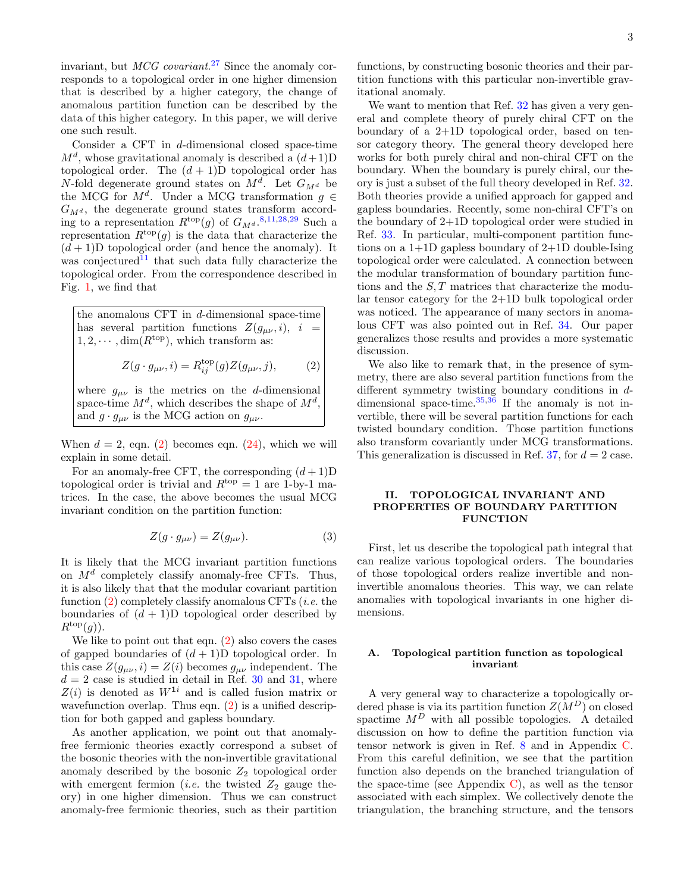invariant, but *MCG covariant.*<sup>[27](#page-21-26)</sup> Since the anomaly corresponds to a topological order in one higher dimension that is described by a higher category, the change of anomalous partition function can be described by the data of this higher category. In this paper, we will derive one such result.

Consider a CFT in d-dimensional closed space-time  $M^d$ , whose gravitational anomaly is described a  $(d+1)D$ topological order. The  $(d+1)D$  topological order has N-fold degenerate ground states on  $M^d$ . Let  $G_{M^d}$  be the MCG for  $M^d$ . Under a MCG transformation  $g \in$  $G_{M^d}$ , the degenerate ground states transform according to a representation  $R^{\text{top}}(g)$  of  $G_{M^d}$ .<sup>[8](#page-21-15)[,11,](#page-21-10)[28,](#page-21-27)[29](#page-21-28)</sup> Such a representation  $R^{top}(g)$  is the data that characterize the  $(d+1)$ D topological order (and hence the anomaly). It was conjectured $11$  that such data fully characterize the topological order. From the correspondence described in Fig. [1,](#page-1-0) we find that

the anomalous CFT in  $d$ -dimensional space-time has several partition functions  $Z(g_{\mu\nu}, i)$ ,  $i =$  $1, 2, \cdots, \dim(R^{\text{top}})$ , which transform as:

$$
Z(g \cdot g_{\mu\nu}, i) = R_{ij}^{\text{top}}(g) Z(g_{\mu\nu}, j), \qquad (2)
$$

where  $g_{\mu\nu}$  is the metrics on the d-dimensional space-time  $M^d$ , which describes the shape of  $M^d$ , and  $g \cdot g_{\mu\nu}$  is the MCG action on  $g_{\mu\nu}$ .

When  $d = 2$ , eqn. [\(2\)](#page-2-2) becomes eqn. [\(24\)](#page-5-1), which we will explain in some detail.

For an anomaly-free CFT, the corresponding  $(d+1)D$ topological order is trivial and  $R^{top} = 1$  are 1-by-1 matrices. In the case, the above becomes the usual MCG invariant condition on the partition function:

$$
Z(g \cdot g_{\mu\nu}) = Z(g_{\mu\nu}).\tag{3}
$$

It is likely that the MCG invariant partition functions on  $M^d$  completely classify anomaly-free CFTs. Thus, it is also likely that that the modular covariant partition function  $(2)$  completely classify anomalous CFTs (*i.e.* the boundaries of  $(d + 1)D$  topological order described by  $R^{\text{top}}(g)$ ).

We like to point out that eqn.  $(2)$  also covers the cases of gapped boundaries of  $(d+1)D$  topological order. In this case  $Z(g_{\mu\nu}, i) = Z(i)$  becomes  $g_{\mu\nu}$  independent. The  $d = 2$  case is studied in detail in Ref. [30](#page-21-29) and [31,](#page-21-30) where  $Z(i)$  is denoted as  $W^{1i}$  and is called fusion matrix or wavefunction overlap. Thus eqn. [\(2\)](#page-2-2) is a unified description for both gapped and gapless boundary.

As another application, we point out that anomalyfree fermionic theories exactly correspond a subset of the bosonic theories with the non-invertible gravitational anomaly described by the bosonic  $Z_2$  topological order with emergent fermion (*i.e.* the twisted  $Z_2$  gauge theory) in one higher dimension. Thus we can construct anomaly-free fermionic theories, such as their partition

functions, by constructing bosonic theories and their partition functions with this particular non-invertible gravitational anomaly.

We want to mention that Ref. [32](#page-21-31) has given a very general and complete theory of purely chiral CFT on the boundary of a 2+1D topological order, based on tensor category theory. The general theory developed here works for both purely chiral and non-chiral CFT on the boundary. When the boundary is purely chiral, our theory is just a subset of the full theory developed in Ref. [32.](#page-21-31) Both theories provide a unified approach for gapped and gapless boundaries. Recently, some non-chiral CFT's on the boundary of 2+1D topological order were studied in Ref. [33.](#page-21-32) In particular, multi-component partition functions on a  $1+1D$  gapless boundary of  $2+1D$  double-Ising topological order were calculated. A connection between the modular transformation of boundary partition functions and the  $S$ ,  $T$  matrices that characterize the modular tensor category for the 2+1D bulk topological order was noticed. The appearance of many sectors in anomalous CFT was also pointed out in Ref. [34.](#page-21-33) Our paper generalizes those results and provides a more systematic discussion.

<span id="page-2-2"></span>We also like to remark that, in the presence of symmetry, there are also several partition functions from the different symmetry twisting boundary conditions in ddimensional space-time.  $35,36$  $35,36$  If the anomaly is not invertible, there will be several partition functions for each twisted boundary condition. Those partition functions also transform covariantly under MCG transformations. This generalization is discussed in Ref. [37,](#page-21-36) for  $d = 2$  case.

# <span id="page-2-0"></span>II. TOPOLOGICAL INVARIANT AND PROPERTIES OF BOUNDARY PARTITION FUNCTION

First, let us describe the topological path integral that can realize various topological orders. The boundaries of those topological orders realize invertible and noninvertible anomalous theories. This way, we can relate anomalies with topological invariants in one higher dimensions.

# <span id="page-2-1"></span>A. Topological partition function as topological invariant

A very general way to characterize a topologically ordered phase is via its partition function  $Z(M^D)$  on closed spactime  $M^D$  with all possible topologies. A detailed discussion on how to define the partition function via tensor network is given in Ref. [8](#page-21-15) and in Appendix [C.](#page-18-0) From this careful definition, we see that the partition function also depends on the branched triangulation of the space-time (see Appendix [C\)](#page-18-0), as well as the tensor associated with each simplex. We collectively denote the triangulation, the branching structure, and the tensors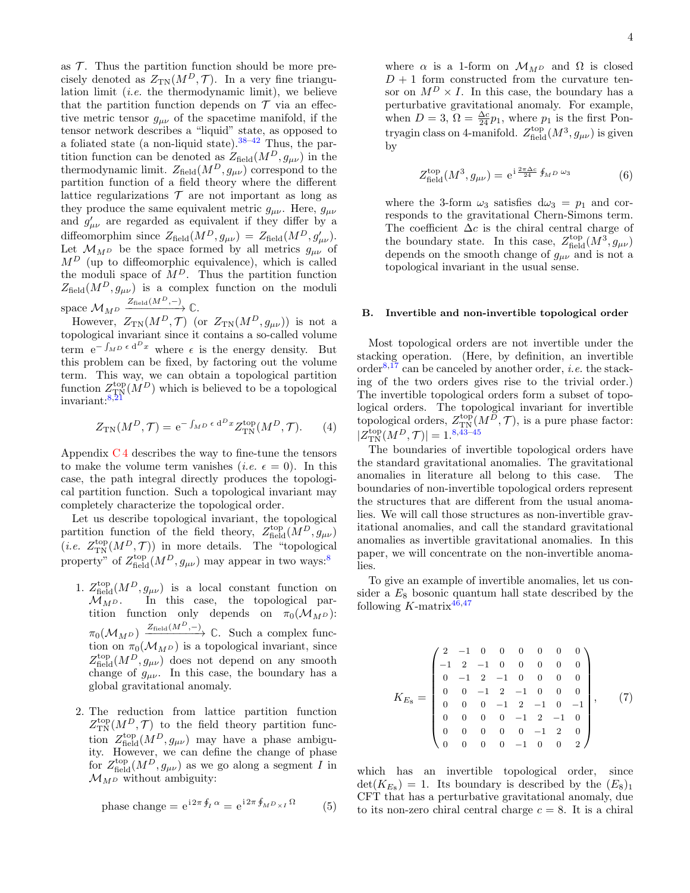as  $\mathcal T$ . Thus the partition function should be more precisely denoted as  $Z_{TN}(M^D, \mathcal{T})$ . In a very fine triangulation limit *(i.e.* the thermodynamic limit), we believe that the partition function depends on  $\mathcal T$  via an effective metric tensor  $g_{\mu\nu}$  of the spacetime manifold, if the tensor network describes a "liquid" state, as opposed to a foliated state (a non-liquid state).  $38-42$  $38-42$  Thus, the partition function can be denoted as  $Z_{\text{field}}(M^D, g_{\mu\nu})$  in the thermodynamic limit.  $Z_{\text{field}}(M^D, g_{\mu\nu})$  correspond to the partition function of a field theory where the different lattice regularizations  $\mathcal T$  are not important as long as they produce the same equivalent metric  $g_{\mu\nu}$ . Here,  $g_{\mu\nu}$ and  $g'_{\mu\nu}$  are regarded as equivalent if they differ by a diffeomorphim since  $Z_{\text{field}}(M^D, g_{\mu\nu}) = Z_{\text{field}}(M^D, g'_{\mu\nu}).$ Let  $\mathcal{M}_{M^D}$  be the space formed by all metrics  $g_{\mu\nu}$  of  $M^D$  (up to diffeomorphic equivalence), which is called the moduli space of  $M^D$ . Thus the partition function  $Z_{\text{field}}(M^D, g_{\mu\nu})$  is a complex function on the moduli space  $\mathcal{M}_{M^D} \xrightarrow{Z_{\text{field}}(M^D,-)} \mathbb{C}$ .

However,  $Z_{\text{TN}}(M^D, \mathcal{T})$  (or  $Z_{\text{TN}}(M^D, g_{\mu\nu})$ ) is not a topological invariant since it contains a so-called volume term  $e^{-\int_{M}D \epsilon d^{D}x}$  where  $\epsilon$  is the energy density. But this problem can be fixed, by factoring out the volume term. This way, we can obtain a topological partition function  $Z_{\text{TN}}^{\text{top}}(M^D)$  which is believed to be a topological invariant:[8](#page-21-15)[,21](#page-21-20)

$$
Z_{\rm TN}(M^D, \mathcal{T}) = e^{-\int_M D \epsilon \, \mathrm{d}^D x} Z_{\rm TN}^{\rm top}(M^D, \mathcal{T}).\tag{4}
$$

Appendix  $C_4$  describes the way to fine-tune the tensors to make the volume term vanishes (*i.e.*  $\epsilon = 0$ ). In this case, the path integral directly produces the topological partition function. Such a topological invariant may completely characterize the topological order.

Let us describe topological invariant, the topological partition function of the field theory,  $Z_{\text{field}}^{\text{top}}(M^D, g_{\mu\nu})$  $(i.e. Z_{\text{TN}}^{\text{top}}(M^D, \mathcal{T}))$  in more details. The "topological property" of  $Z_{\text{field}}^{\text{top}}(M^D, g_{\mu\nu})$  may appear in two ways:<sup>[8](#page-21-15)</sup>

- 1.  $Z_{\text{field}}^{\text{top}}(M^D, g_{\mu\nu})$  is a local constant function on  $\mathcal{M}_{M,D}$ . In this case, the topological partition function only depends on  $\pi_0(\mathcal{M}_{M^D})$ :  $\pi_0(\mathcal{M}_{M^D}) \xrightarrow{Z_{\text{field}}(M^D,-)} \mathbb{C}$ . Such a complex function on  $\pi_0(\mathcal{M}_{MD})$  is a topological invariant, since  $Z_{\text{field}}^{\text{top}}(M^D, g_{\mu\nu})$  does not depend on any smooth change of  $g_{\mu\nu}$ . In this case, the boundary has a global gravitational anomaly.
- 2. The reduction from lattice partition function  $Z_{\text{TN}}^{\text{top}}(M^D, \mathcal{T})$  to the field theory partition function  $Z_{\text{field}}^{\text{top}}(M^D, g_{\mu\nu})$  may have a phase ambiguity. However, we can define the change of phase for  $Z_{\text{field}}^{\text{top}}(M^D, g_{\mu\nu})$  as we go along a segment I in  $\mathcal{M}_{M^D}$  without ambiguity:

phase change = 
$$
e^{i2\pi \oint_I \alpha} = e^{i2\pi \oint_M D_{\times I} \Omega}
$$
 (5)

where  $\alpha$  is a 1-form on  $\mathcal{M}_{M,D}$  and  $\Omega$  is closed  $D+1$  form constructed from the curvature tensor on  $M^D \times I$ . In this case, the boundary has a perturbative gravitational anomaly. For example, when  $D=3$ ,  $\Omega=\frac{\Delta c}{24}p_1$ , where  $p_1$  is the first Pontryagin class on 4-manifold.  $Z_{\text{field}}^{\text{top}}(M^3, g_{\mu\nu})$  is given by

$$
Z_{\text{field}}^{\text{top}}(M^3, g_{\mu\nu}) = e^{i\frac{2\pi\Delta c}{24} \oint_{M^D} \omega_3} \tag{6}
$$

where the 3-form  $\omega_3$  satisfies  $d\omega_3 = p_1$  and corresponds to the gravitational Chern-Simons term. The coefficient  $\Delta c$  is the chiral central charge of the boundary state. In this case,  $Z_{\text{field}}^{\text{top}}(M^3, g_{\mu\nu})$ depends on the smooth change of  $g_{\mu\nu}$  and is not a topological invariant in the usual sense.

### <span id="page-3-0"></span>B. Invertible and non-invertible topological order

Most topological orders are not invertible under the stacking operation. (Here, by definition, an invertible order $8,17$  $8,17$  can be canceled by another order, *i.e.* the stacking of the two orders gives rise to the trivial order.) The invertible topological orders form a subset of topological orders. The topological invariant for invertible topological orders,  $Z_{\text{TN}}^{\text{top}}(M^{\overline{D}}, \mathcal{T})$ , is a pure phase factor:  $|Z^{\text{top}}_{\text{TN}}(M^{D}, \mathcal{T})| = 1^{8,43-45}$  $|Z^{\text{top}}_{\text{TN}}(M^{D}, \mathcal{T})| = 1^{8,43-45}$  $|Z^{\text{top}}_{\text{TN}}(M^{D}, \mathcal{T})| = 1^{8,43-45}$  $|Z^{\text{top}}_{\text{TN}}(M^{D}, \mathcal{T})| = 1^{8,43-45}$ 

The boundaries of invertible topological orders have the standard gravitational anomalies. The gravitational anomalies in literature all belong to this case. The boundaries of non-invertible topological orders represent the structures that are different from the usual anomalies. We will call those structures as non-invertible gravitational anomalies, and call the standard gravitational anomalies as invertible gravitational anomalies. In this paper, we will concentrate on the non-invertible anomalies.

To give an example of invertible anomalies, let us consider a  $E_8$  bosonic quantum hall state described by the following  $K$ -matrix<sup>[46,](#page-21-41)[47](#page-21-42)</sup>

<span id="page-3-1"></span>
$$
K_{E_8} = \begin{pmatrix} 2 & -1 & 0 & 0 & 0 & 0 & 0 & 0 \\ -1 & 2 & -1 & 0 & 0 & 0 & 0 & 0 \\ 0 & -1 & 2 & -1 & 0 & 0 & 0 & 0 \\ 0 & 0 & -1 & 2 & -1 & 0 & 0 & 0 \\ 0 & 0 & 0 & -1 & 2 & -1 & 0 & -1 \\ 0 & 0 & 0 & 0 & -1 & 2 & -1 & 0 \\ 0 & 0 & 0 & 0 & 0 & -1 & 2 & 0 \\ 0 & 0 & 0 & 0 & -1 & 0 & 0 & 2 \end{pmatrix}, \qquad (7)
$$

which has an invertible topological order, since  $\det(K_{E_8}) = 1$ . Its boundary is described by the  $(E_8)_1$ CFT that has a perturbative gravitational anomaly, due to its non-zero chiral central charge  $c = 8$ . It is a chiral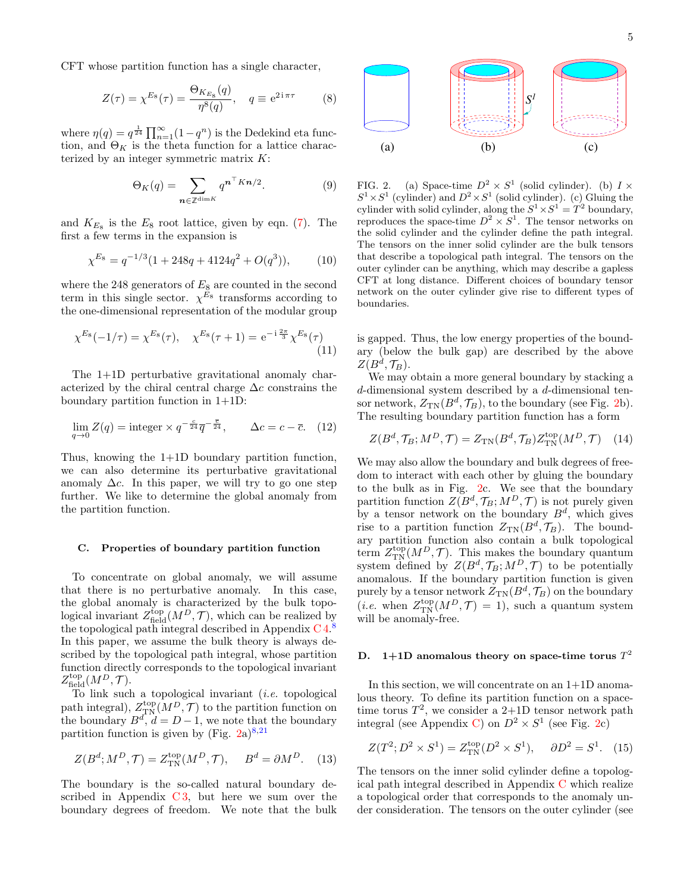CFT whose partition function has a single character,

$$
Z(\tau) = \chi^{E_8}(\tau) = \frac{\Theta_{K_{E_8}}(q)}{\eta^8(q)}, \quad q \equiv e^{2i\pi\tau} \tag{8}
$$

where  $\eta(q) = q^{\frac{1}{24}} \prod_{n=1}^{\infty} (1 - q^n)$  is the Dedekind eta function, and  $\Theta_K$  is the theta function for a lattice characterized by an integer symmetric matrix  $K$ :

$$
\Theta_K(q) = \sum_{\mathbf{n} \in \mathbb{Z}^{\dim K}} q^{\mathbf{n}^\top K \mathbf{n}/2}.
$$
 (9)

and  $K_{E_8}$  is the  $E_8$  root lattice, given by eqn. [\(7\)](#page-3-1). The first a few terms in the expansion is

$$
\chi^{E_8} = q^{-1/3} (1 + 248q + 4124q^2 + O(q^3)),\tag{10}
$$

where the 248 generators of  $E_8$  are counted in the second term in this single sector.  $\chi^{E_8}$  transforms according to the one-dimensional representation of the modular group

$$
\chi^{E_8}(-1/\tau) = \chi^{E_8}(\tau), \quad \chi^{E_8}(\tau+1) = e^{-i\frac{2\pi}{3}}\chi^{E_8}(\tau)
$$
\n(11)

The 1+1D perturbative gravitational anomaly characterized by the chiral central charge  $\Delta c$  constrains the boundary partition function in 1+1D:

$$
\lim_{q \to 0} Z(q) = \text{integer} \times q^{-\frac{c}{24}} \overline{q}^{-\frac{\overline{c}}{24}}, \qquad \Delta c = c - \overline{c}. \tag{12}
$$

Thus, knowing the 1+1D boundary partition function, we can also determine its perturbative gravitational anomaly  $\Delta c$ . In this paper, we will try to go one step further. We like to determine the global anomaly from the partition function.

#### <span id="page-4-0"></span>C. Properties of boundary partition function

To concentrate on global anomaly, we will assume that there is no perturbative anomaly. In this case, the global anomaly is characterized by the bulk topological invariant  $Z_{\text{field}}^{\text{top}}(M^D, \mathcal{T})$ , which can be realized by the topological path integral described in Appendix C<sub>4.[8](#page-21-15)</sub> In this paper, we assume the bulk theory is always described by the topological path integral, whose partition function directly corresponds to the topological invariant  $Z_{\rm field}^{\rm top}(M^D,\mathcal{T}).$ 

To link such a topological invariant (i.e. topological path integral),  $Z_{TN}^{top}(M^D, \mathcal{T})$  to the partition function on the boundary  $B^d$ ,  $d = D - 1$ , we note that the boundary partition function is given by (Fig.  $2a)^{8,21}$  $2a)^{8,21}$  $2a)^{8,21}$  $2a)^{8,21}$  $2a)^{8,21}$ 

$$
Z(B^d; M^D, \mathcal{T}) = Z_{\text{TN}}^{\text{top}}(M^D, \mathcal{T}), \quad B^d = \partial M^D. \quad (13)
$$

The boundary is the so-called natural boundary described in Appendix  $C_3$ , but here we sum over the boundary degrees of freedom. We note that the bulk



<span id="page-4-2"></span>FIG. 2. (a) Space-time  $D^2 \times S^1$  (solid cylinder). (b)  $I \times$  $S^1 \times S^1$  (cylinder) and  $D^2 \times S^1$  (solid cylinder). (c) Gluing the cylinder with solid cylinder, along the  $S^1 \times S^1 = T^2$  boundary, reproduces the space-time  $D^2 \times S^1$ . The tensor networks on the solid cylinder and the cylinder define the path integral. The tensors on the inner solid cylinder are the bulk tensors that describe a topological path integral. The tensors on the outer cylinder can be anything, which may describe a gapless CFT at long distance. Different choices of boundary tensor network on the outer cylinder give rise to different types of boundaries.

is gapped. Thus, the low energy properties of the boundary (below the bulk gap) are described by the above  $Z(B^d,\mathcal{T}_B).$ 

We may obtain a more general boundary by stacking a d-dimensional system described by a d-dimensional tensor network,  $Z_{TN}(B^d, \mathcal{T}_B)$ , to the boundary (see Fig. [2b](#page-4-2)). The resulting boundary partition function has a form

<span id="page-4-3"></span>
$$
Z(B^d, \mathcal{T}_B; M^D, \mathcal{T}) = Z_{\text{TN}}(B^d, \mathcal{T}_B) Z_{\text{TN}}^{\text{top}}(M^D, \mathcal{T}) \quad (14)
$$

We may also allow the boundary and bulk degrees of freedom to interact with each other by gluing the boundary to the bulk as in Fig. [2c](#page-4-2). We see that the boundary partition function  $Z(B^d, \mathcal{T}_B; M^D, \mathcal{T})$  is not purely given by a tensor network on the boundary  $B^d$ , which gives rise to a partition function  $Z_{TN}(B^d, \mathcal{T}_B)$ . The boundary partition function also contain a bulk topological term  $Z_{\text{TN}}^{\text{top}}(M^D, \mathcal{T})$ . This makes the boundary quantum system defined by  $Z(B^d, \mathcal{T}_B; M^D, \mathcal{T})$  to be potentially anomalous. If the boundary partition function is given purely by a tensor network  $Z_{\text{TN}}(B^d, \mathcal{T}_B)$  on the boundary (*i.e.* when  $Z_{\text{TN}}^{\text{top}}(M^D, \mathcal{T}) = 1$ ), such a quantum system will be anomaly-free.

# <span id="page-4-1"></span>D. 1+1D anomalous theory on space-time torus  $T^2$

In this section, we will concentrate on an 1+1D anomalous theory. To define its partition function on a spacetime torus  $T^2$ , we consider a 2+1D tensor network path integral (see Appendix [C\)](#page-18-0) on  $D^2 \times S^1$  (see Fig. [2c](#page-4-2))

$$
Z(T^2; D^2 \times S^1) = Z_{\text{TN}}^{\text{top}}(D^2 \times S^1), \quad \partial D^2 = S^1. \tag{15}
$$

The tensors on the inner solid cylinder define a topological path integral described in Appendix [C](#page-18-0) which realize a topological order that corresponds to the anomaly under consideration. The tensors on the outer cylinder (see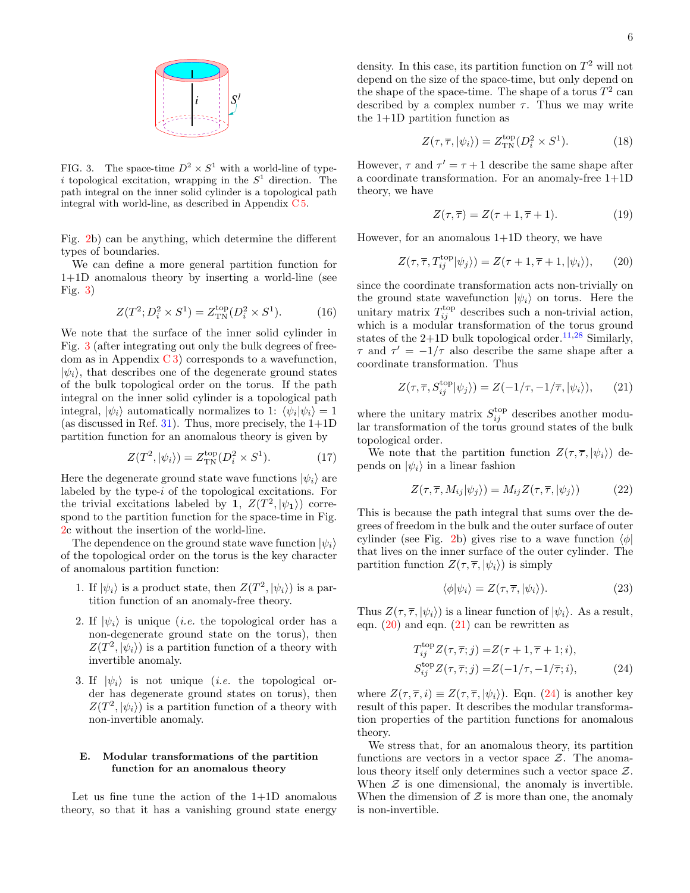

<span id="page-5-2"></span>FIG. 3. The space-time  $D^2 \times S^1$  with a world-line of typei topological excitation, wrapping in the  $S<sup>1</sup>$  direction. The path integral on the inner solid cylinder is a topological path integral with world-line, as described in Appendix [C 5.](#page-20-0)

Fig. [2b](#page-4-2)) can be anything, which determine the different types of boundaries.

We can define a more general partition function for 1+1D anomalous theory by inserting a world-line (see Fig. [3\)](#page-5-2)

$$
Z(T^2; D_i^2 \times S^1) = Z_{\text{TN}}^{\text{top}}(D_i^2 \times S^1). \tag{16}
$$

We note that the surface of the inner solid cylinder in Fig. [3](#page-5-2) (after integrating out only the bulk degrees of freedom as in Appendix  $C_3$  corresponds to a wavefunction,  $|\psi_i\rangle$ , that describes one of the degenerate ground states of the bulk topological order on the torus. If the path integral on the inner solid cylinder is a topological path integral,  $|\psi_i\rangle$  automatically normalizes to 1:  $\langle \psi_i | \psi_i \rangle = 1$ (as discussed in Ref. [31\)](#page-21-30). Thus, more precisely, the  $1+1D$ partition function for an anomalous theory is given by

$$
Z(T^2, |\psi_i\rangle) = Z_{\text{TN}}^{\text{top}}(D_i^2 \times S^1). \tag{17}
$$

Here the degenerate ground state wave functions  $|\psi_i\rangle$  are labeled by the type-i of the topological excitations. For the trivial excitations labeled by 1,  $Z(T^2, |\psi_1\rangle)$  correspond to the partition function for the space-time in Fig. [2c](#page-4-2) without the insertion of the world-line.

The dependence on the ground state wave function  $|\psi_i\rangle$ of the topological order on the torus is the key character of anomalous partition function:

- 1. If  $|\psi_i\rangle$  is a product state, then  $Z(T^2, |\psi_i\rangle)$  is a partition function of an anomaly-free theory.
- 2. If  $|\psi_i\rangle$  is unique (*i.e.* the topological order has a non-degenerate ground state on the torus), then  $Z(T^2, |\psi_i\rangle)$  is a partition function of a theory with invertible anomaly.
- 3. If  $|\psi_i\rangle$  is not unique *(i.e.* the topological order has degenerate ground states on torus), then  $Z(T^2, |\psi_i\rangle)$  is a partition function of a theory with non-invertible anomaly.

## <span id="page-5-0"></span>E. Modular transformations of the partition function for an anomalous theory

Let us fine tune the action of the 1+1D anomalous theory, so that it has a vanishing ground state energy

density. In this case, its partition function on  $T^2$  will not depend on the size of the space-time, but only depend on the shape of the space-time. The shape of a torus  $T^2$  can described by a complex number  $\tau$ . Thus we may write the 1+1D partition function as

$$
Z(\tau, \overline{\tau}, |\psi_i\rangle) = Z_{\text{TN}}^{\text{top}}(D_i^2 \times S^1). \tag{18}
$$

However,  $\tau$  and  $\tau' = \tau + 1$  describe the same shape after a coordinate transformation. For an anomaly-free 1+1D theory, we have

<span id="page-5-3"></span>
$$
Z(\tau,\overline{\tau}) = Z(\tau+1,\overline{\tau}+1). \tag{19}
$$

However, for an anomalous 1+1D theory, we have

$$
Z(\tau, \overline{\tau}, T_{ij}^{\text{top}} |\psi_j \rangle) = Z(\tau + 1, \overline{\tau} + 1, |\psi_i \rangle), \qquad (20)
$$

since the coordinate transformation acts non-trivially on the ground state wavefunction  $|\psi_i\rangle$  on torus. Here the unitary matrix  $T_{ij}^{\text{top}}$  describes such a non-trivial action, which is a modular transformation of the torus ground states of the  $2+1D$  bulk topological order.<sup>[11,](#page-21-10)[28](#page-21-27)</sup> Similarly,  $\tau$  and  $\tau' = -1/\tau$  also describe the same shape after a coordinate transformation. Thus

<span id="page-5-4"></span>
$$
Z(\tau, \overline{\tau}, S_{ij}^{\text{top}} |\psi_j \rangle) = Z(-1/\tau, -1/\overline{\tau}, |\psi_i \rangle), \qquad (21)
$$

where the unitary matrix  $S_{ij}^{\text{top}}$  describes another modular transformation of the torus ground states of the bulk topological order.

We note that the partition function  $Z(\tau, \overline{\tau}, |\psi_i\rangle)$  depends on  $|\psi_i\rangle$  in a linear fashion

$$
Z(\tau, \overline{\tau}, M_{ij}|\psi_j\rangle) = M_{ij} Z(\tau, \overline{\tau}, |\psi_j\rangle) \tag{22}
$$

This is because the path integral that sums over the degrees of freedom in the bulk and the outer surface of outer cylinder (see Fig. [2b](#page-4-2)) gives rise to a wave function  $\langle \phi |$ that lives on the inner surface of the outer cylinder. The partition function  $Z(\tau, \overline{\tau}, |\psi_i\rangle)$  is simply

<span id="page-5-1"></span>
$$
\langle \phi | \psi_i \rangle = Z(\tau, \overline{\tau}, |\psi_i \rangle). \tag{23}
$$

Thus  $Z(\tau, \overline{\tau}, |\psi_i\rangle)$  is a linear function of  $|\psi_i\rangle$ . As a result, eqn.  $(20)$  and eqn.  $(21)$  can be rewritten as

$$
T_{ij}^{\text{top}} Z(\tau, \overline{\tau}; j) = Z(\tau + 1, \overline{\tau} + 1; i),
$$
  
\n
$$
S_{ij}^{\text{top}} Z(\tau, \overline{\tau}; j) = Z(-1/\tau, -1/\overline{\tau}; i),
$$
\n(24)

where  $Z(\tau, \overline{\tau}, i) \equiv Z(\tau, \overline{\tau}, |\psi_i \rangle)$ . Eqn. [\(24\)](#page-5-1) is another key result of this paper. It describes the modular transformation properties of the partition functions for anomalous theory.

We stress that, for an anomalous theory, its partition functions are vectors in a vector space  $\mathcal{Z}$ . The anomalous theory itself only determines such a vector space Z. When  $\mathcal Z$  is one dimensional, the anomaly is invertible. When the dimension of  $\mathcal Z$  is more than one, the anomaly is non-invertible.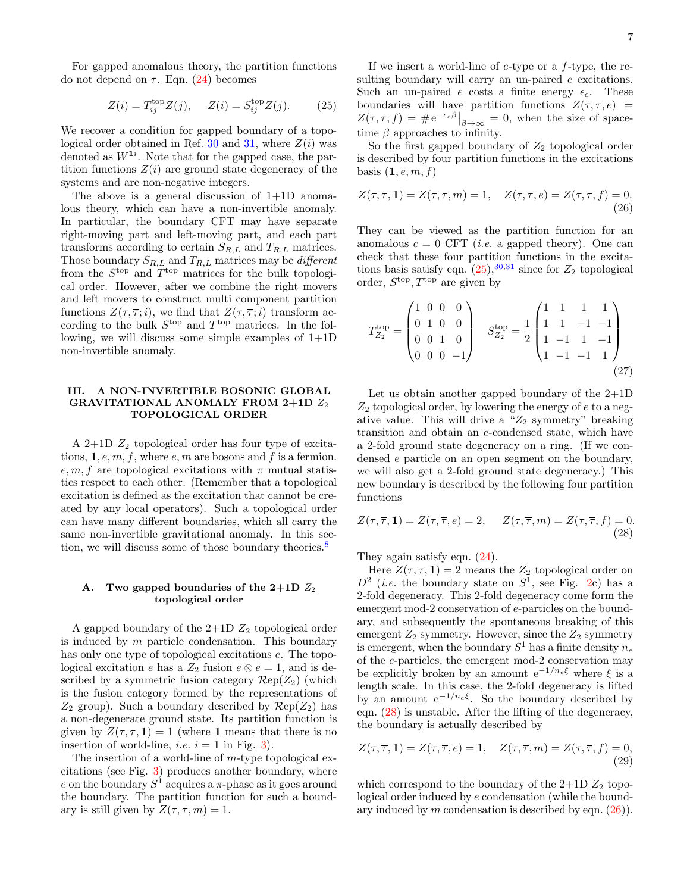For gapped anomalous theory, the partition functions do not depend on  $\tau$ . Eqn. [\(24\)](#page-5-1) becomes

$$
Z(i) = T_{ij}^{\text{top}} Z(j), \quad Z(i) = S_{ij}^{\text{top}} Z(j). \quad (25)
$$

We recover a condition for gapped boundary of a topo-logical order obtained in Ref. [30](#page-21-29) and [31,](#page-21-30) where  $Z(i)$  was denoted as  $W^{1i}$ . Note that for the gapped case, the partition functions  $Z(i)$  are ground state degeneracy of the systems and are non-negative integers.

The above is a general discussion of  $1+1D$  anomalous theory, which can have a non-invertible anomaly. In particular, the boundary CFT may have separate right-moving part and left-moving part, and each part transforms according to certain  $S_{R,L}$  and  $T_{R,L}$  matrices. Those boundary  $S_{R,L}$  and  $T_{R,L}$  matrices may be *different* from the  $S<sup>top</sup>$  and  $T<sup>top</sup>$  matrices for the bulk topological order. However, after we combine the right movers and left movers to construct multi component partition functions  $Z(\tau, \overline{\tau}; i)$ , we find that  $Z(\tau, \overline{\tau}; i)$  transform according to the bulk  $S<sup>top</sup>$  and  $T<sup>top</sup>$  matrices. In the following, we will discuss some simple examples of 1+1D non-invertible anomaly.

## <span id="page-6-0"></span>III. A NON-INVERTIBLE BOSONIC GLOBAL GRAVITATIONAL ANOMALY FROM  $2+1D$   $Z_2$ TOPOLOGICAL ORDER

A 2+1D  $Z_2$  topological order has four type of excitations,  $1, e, m, f$ , where  $e, m$  are bosons and f is a fermion. e, m, f are topological excitations with  $\pi$  mutual statistics respect to each other. (Remember that a topological excitation is defined as the excitation that cannot be created by any local operators). Such a topological order can have many different boundaries, which all carry the same non-invertible gravitational anomaly. In this sec-tion, we will discuss some of those boundary theories.<sup>[8](#page-21-15)</sup>

### <span id="page-6-1"></span>A. Two gapped boundaries of the  $2+1D$   $Z_2$ topological order

A gapped boundary of the  $2+1D Z_2$  topological order is induced by m particle condensation. This boundary has only one type of topological excitations  $e$ . The topological excitation e has a  $Z_2$  fusion  $e \otimes e = 1$ , and is described by a symmetric fusion category  $\mathcal{R}ep(Z_2)$  (which is the fusion category formed by the representations of  $Z_2$  group). Such a boundary described by  $\mathcal{R}ep(Z_2)$  has a non-degenerate ground state. Its partition function is given by  $Z(\tau, \overline{\tau}, 1) = 1$  (where 1 means that there is no insertion of world-line, *i.e.*  $i = 1$  in Fig. [3\)](#page-5-2).

The insertion of a world-line of m-type topological excitations (see Fig. [3\)](#page-5-2) produces another boundary, where e on the boundary  $S^1$  acquires a  $\pi$ -phase as it goes around the boundary. The partition function for such a boundary is still given by  $Z(\tau, \overline{\tau}, m) = 1$ .

<span id="page-6-2"></span>If we insert a world-line of  $e$ -type or a  $f$ -type, the resulting boundary will carry an un-paired  $e$  excitations. Such an un-paired e costs a finite energy  $\epsilon_e$ . These boundaries will have partition functions  $Z(\tau, \overline{\tau}, e)$  =  $Z(\tau, \overline{\tau}, f) = \#e^{-\epsilon_e \beta}\Big|_{\beta \to \infty} = 0$ , when the size of spacetime  $\beta$  approaches to infinity.

So the first gapped boundary of  $Z_2$  topological order is described by four partition functions in the excitations basis  $(1, e, m, f)$ 

<span id="page-6-4"></span>
$$
Z(\tau,\overline{\tau},\mathbf{1}) = Z(\tau,\overline{\tau},m) = 1, \quad Z(\tau,\overline{\tau},e) = Z(\tau,\overline{\tau},f) = 0.
$$
\n(26)

They can be viewed as the partition function for an anomalous  $c = 0$  CFT *(i.e.* a gapped theory). One can check that these four partition functions in the excitations basis satisfy eqn.  $(25),^{30,31}$  $(25),^{30,31}$  $(25),^{30,31}$  $(25),^{30,31}$  since for  $Z_2$  topological order,  $S^{\text{top}}$ ,  $T^{\text{top}}$  are given by

<span id="page-6-5"></span>
$$
T_{Z_2}^{\text{top}} = \begin{pmatrix} 1 & 0 & 0 & 0 \\ 0 & 1 & 0 & 0 \\ 0 & 0 & 1 & 0 \\ 0 & 0 & 0 & -1 \end{pmatrix} \quad S_{Z_2}^{\text{top}} = \frac{1}{2} \begin{pmatrix} 1 & 1 & 1 & 1 \\ 1 & 1 & -1 & -1 \\ 1 & -1 & 1 & -1 \\ 1 & -1 & -1 & 1 \end{pmatrix}
$$
(27)

Let us obtain another gapped boundary of the 2+1D  $Z_2$  topological order, by lowering the energy of  $e$  to a negative value. This will drive a " $Z_2$  symmetry" breaking transition and obtain an e-condensed state, which have a 2-fold ground state degeneracy on a ring. (If we condensed e particle on an open segment on the boundary, we will also get a 2-fold ground state degeneracy.) This new boundary is described by the following four partition functions

<span id="page-6-3"></span>
$$
Z(\tau,\overline{\tau},\mathbf{1}) = Z(\tau,\overline{\tau},e) = 2, \quad Z(\tau,\overline{\tau},m) = Z(\tau,\overline{\tau},f) = 0.
$$
\n(28)

They again satisfy eqn.  $(24)$ .

Here  $Z(\tau, \overline{\tau}, 1) = 2$  means the  $Z_2$  topological order on  $D^2$  (*i.e.* the boundary state on  $S^1$ , see Fig. [2c](#page-4-2)) has a 2-fold degeneracy. This 2-fold degeneracy come form the emergent mod-2 conservation of e-particles on the boundary, and subsequently the spontaneous breaking of this emergent  $Z_2$  symmetry. However, since the  $Z_2$  symmetry is emergent, when the boundary  $S^1$  has a finite density  $n_e$ of the e-particles, the emergent mod-2 conservation may be explicitly broken by an amount  $e^{-1/n_e\xi}$  where  $\xi$  is a length scale. In this case, the 2-fold degeneracy is lifted by an amount  $e^{-1/n_e\xi}$ . So the boundary described by eqn. [\(28\)](#page-6-3) is unstable. After the lifting of the degeneracy, the boundary is actually described by

$$
Z(\tau,\overline{\tau},\mathbf{1}) = Z(\tau,\overline{\tau},e) = 1, \quad Z(\tau,\overline{\tau},m) = Z(\tau,\overline{\tau},f) = 0,
$$
\n(29)

which correspond to the boundary of the  $2+1D Z_2$  topological order induced by e condensation (while the boundary induced by m condensation is described by eqn.  $(26)$ ).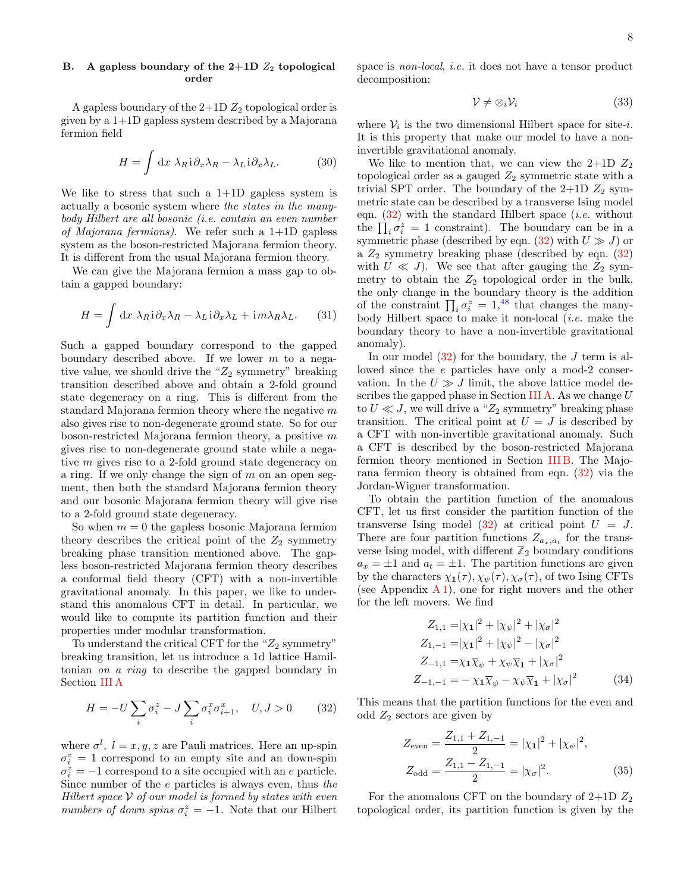# <span id="page-7-0"></span>B. A gapless boundary of the  $2+1D$   $Z_2$  topological order

A gapless boundary of the  $2+1D Z_2$  topological order is given by a 1+1D gapless system described by a Majorana fermion field

$$
H = \int \mathrm{d}x \; \lambda_R \mathrm{i} \, \partial_x \lambda_R - \lambda_L \mathrm{i} \, \partial_x \lambda_L. \tag{30}
$$

We like to stress that such a  $1+1D$  gapless system is actually a bosonic system where the states in the manybody Hilbert are all bosonic (i.e. contain an even number of Majorana fermions). We refer such a  $1+1D$  gapless system as the boson-restricted Majorana fermion theory. It is different from the usual Majorana fermion theory.

We can give the Majorana fermion a mass gap to obtain a gapped boundary:

$$
H = \int \mathrm{d}x \; \lambda_R \mathrm{i} \, \partial_x \lambda_R - \lambda_L \mathrm{i} \, \partial_x \lambda_L + \mathrm{i} m \lambda_R \lambda_L. \tag{31}
$$

Such a gapped boundary correspond to the gapped boundary described above. If we lower  $m$  to a negative value, we should drive the " $Z_2$  symmetry" breaking transition described above and obtain a 2-fold ground state degeneracy on a ring. This is different from the standard Majorana fermion theory where the negative  $m$ also gives rise to non-degenerate ground state. So for our boson-restricted Majorana fermion theory, a positive m gives rise to non-degenerate ground state while a negative m gives rise to a 2-fold ground state degeneracy on a ring. If we only change the sign of  $m$  on an open segment, then both the standard Majorana fermion theory and our bosonic Majorana fermion theory will give rise to a 2-fold ground state degeneracy.

So when  $m = 0$  the gapless bosonic Majorana fermion theory describes the critical point of the  $Z_2$  symmetry breaking phase transition mentioned above. The gapless boson-restricted Majorana fermion theory describes a conformal field theory (CFT) with a non-invertible gravitational anomaly. In this paper, we like to understand this anomalous CFT in detail. In particular, we would like to compute its partition function and their properties under modular transformation.

To understand the critical CFT for the " $Z_2$  symmetry" breaking transition, let us introduce a 1d lattice Hamiltonian on a ring to describe the gapped boundary in Section [III A](#page-6-1)

$$
H = -U\sum_{i} \sigma_i^z - J\sum_{i} \sigma_i^x \sigma_{i+1}^x, \quad U, J > 0 \tag{32}
$$

where  $\sigma^l$ ,  $l = x, y, z$  are Pauli matrices. Here an up-spin  $\sigma_i^z = 1$  correspond to an empty site and an down-spin  $\sigma_i^z = -1$  correspond to a site occupied with an e particle. Since number of the e particles is always even, thus the Hilbert space  $\mathcal V$  of our model is formed by states with even numbers of down spins  $\sigma_i^z = -1$ . Note that our Hilbert

space is non-local, i.e. it does not have a tensor product decomposition:

$$
\mathcal{V} \neq \otimes_i \mathcal{V}_i \tag{33}
$$

where  $V_i$  is the two dimensional Hilbert space for site-i. It is this property that make our model to have a noninvertible gravitational anomaly.

We like to mention that, we can view the  $2+1D Z_2$ topological order as a gauged  $Z_2$  symmetric state with a trivial SPT order. The boundary of the  $2+1D$   $Z_2$  symmetric state can be described by a transverse Ising model eqn.  $(32)$  with the standard Hilbert space *(i.e.* without the  $\prod_i \sigma_i^z = 1$  constraint). The boundary can be in a symmetric phase (described by eqn.  $(32)$  with  $U \gg J$ ) or a  $Z_2$  symmetry breaking phase (described by eqn.  $(32)$ ) with  $U \ll J$ ). We see that after gauging the  $Z_2$  symmetry to obtain the  $Z_2$  topological order in the bulk, the only change in the boundary theory is the addition of the constraint  $\prod_i \sigma_i^z = 1,^{48}$  $\prod_i \sigma_i^z = 1,^{48}$  $\prod_i \sigma_i^z = 1,^{48}$  that changes the manybody Hilbert space to make it non-local (i.e. make the boundary theory to have a non-invertible gravitational anomaly).

In our model  $(32)$  for the boundary, the J term is allowed since the e particles have only a mod-2 conservation. In the  $U \gg J$  limit, the above lattice model de-scribes the gapped phase in Section [III A.](#page-6-1) As we change  $U$ to  $U \ll J$ , we will drive a " $Z_2$  symmetry" breaking phase transition. The critical point at  $U = J$  is described by a CFT with non-invertible gravitational anomaly. Such a CFT is described by the boson-restricted Majorana fermion theory mentioned in Section [III B.](#page-7-0) The Majorana fermion theory is obtained from eqn. [\(32\)](#page-7-1) via the Jordan-Wigner transformation.

To obtain the partition function of the anomalous CFT, let us first consider the partition function of the transverse Ising model  $(32)$  at critical point  $U = J$ . There are four partition functions  $Z_{a_x,a_t}$  for the transverse Ising model, with different  $\mathbb{Z}_2$  boundary conditions  $a_x = \pm 1$  and  $a_t = \pm 1$ . The partition functions are given by the characters  $\chi_1(\tau), \chi_{\psi}(\tau), \chi_{\sigma}(\tau)$ , of two Ising CFTs (see Appendix  $A_1$ ), one for right movers and the other for the left movers. We find

$$
Z_{1,1} = |\chi_1|^2 + |\chi_{\psi}|^2 + |\chi_{\sigma}|^2
$$
  
\n
$$
Z_{1,-1} = |\chi_1|^2 + |\chi_{\psi}|^2 - |\chi_{\sigma}|^2
$$
  
\n
$$
Z_{-1,1} = \chi_1 \overline{\chi}_{\psi} + \chi_{\psi} \overline{\chi}_1 + |\chi_{\sigma}|^2
$$
  
\n
$$
Z_{-1,-1} = -\chi_1 \overline{\chi}_{\psi} - \chi_{\psi} \overline{\chi}_1 + |\chi_{\sigma}|^2
$$
 (34)

<span id="page-7-1"></span>This means that the partition functions for the even and odd  $Z_2$  sectors are given by

$$
Z_{\text{even}} = \frac{Z_{1,1} + Z_{1,-1}}{2} = |\chi_1|^2 + |\chi_\psi|^2,
$$
  
\n
$$
Z_{\text{odd}} = \frac{Z_{1,1} - Z_{1,-1}}{2} = |\chi_\sigma|^2.
$$
 (35)

For the anomalous CFT on the boundary of  $2+1D Z_2$ topological order, its partition function is given by the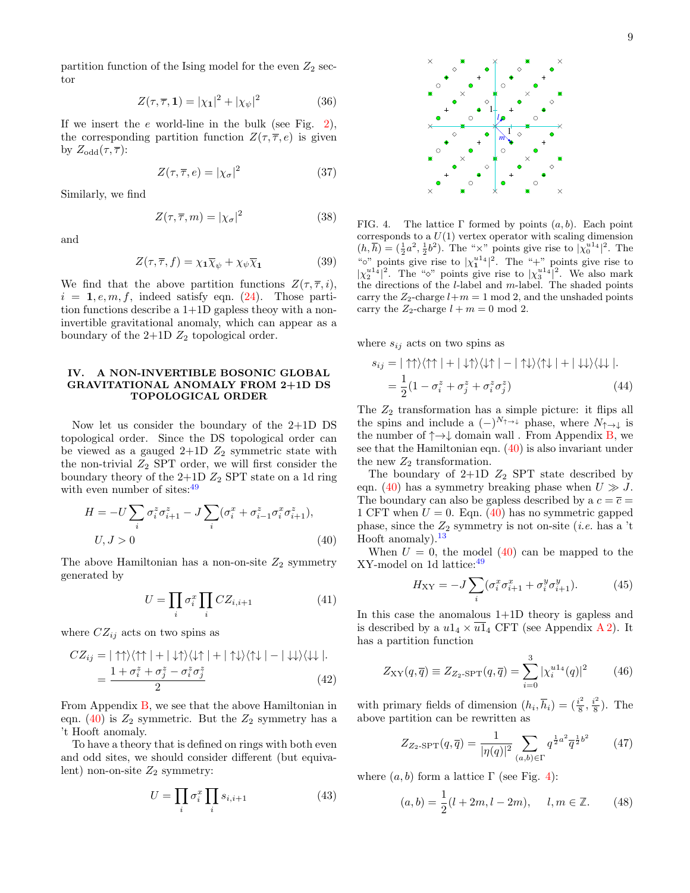partition function of the Ising model for the even  $Z_2$  sector

$$
Z(\tau,\overline{\tau},1) = |\chi_1|^2 + |\chi_{\psi}|^2 \tag{36}
$$

If we insert the  $e$  world-line in the bulk (see Fig. [2\)](#page-4-2), the corresponding partition function  $Z(\tau, \overline{\tau}, e)$  is given by  $Z_{\text{odd}}(\tau,\overline{\tau})$ :

$$
Z(\tau,\overline{\tau},e) = |\chi_{\sigma}|^2 \tag{37}
$$

Similarly, we find

$$
Z(\tau, \overline{\tau}, m) = |\chi_{\sigma}|^2 \tag{38}
$$

and

$$
Z(\tau, \overline{\tau}, f) = \chi_1 \overline{\chi}_{\psi} + \chi_{\psi} \overline{\chi}_1 \tag{39}
$$

We find that the above partition functions  $Z(\tau, \overline{\tau}, i)$ ,  $i = 1, e, m, f$ , indeed satisfy eqn. [\(24\)](#page-5-1). Those partition functions describe a 1+1D gapless theoy with a noninvertible gravitational anomaly, which can appear as a boundary of the  $2+1D$   $Z_2$  topological order.

## <span id="page-8-0"></span>IV. A NON-INVERTIBLE BOSONIC GLOBAL GRAVITATIONAL ANOMALY FROM 2+1D DS TOPOLOGICAL ORDER

Now let us consider the boundary of the 2+1D DS topological order. Since the DS topological order can be viewed as a gauged  $2+1D$   $Z_2$  symmetric state with the non-trivial  $Z_2$  SPT order, we will first consider the boundary theory of the  $2+1D$   $Z_2$  SPT state on a 1d ring with even number of sites:  $49$ 

$$
H = -U \sum_{i} \sigma_i^z \sigma_{i+1}^z - J \sum_{i} (\sigma_i^x + \sigma_{i-1}^z \sigma_i^x \sigma_{i+1}^z),
$$
  

$$
U, J > 0
$$
 (40)

The above Hamiltonian has a non-on-site  $Z_2$  symmetry generated by

$$
U = \prod_{i} \sigma_i^x \prod_{i} CZ_{i,i+1}
$$
 (41)

where  $CZ_{ij}$  acts on two spins as

$$
CZ_{ij} = |\uparrow \uparrow \rangle \langle \uparrow \uparrow | + | \downarrow \uparrow \rangle \langle \downarrow \uparrow | + | \uparrow \downarrow \rangle \langle \uparrow \downarrow | - | \downarrow \downarrow \rangle \langle \downarrow \downarrow |.
$$
  
= 
$$
\frac{1 + \sigma_i^z + \sigma_j^z - \sigma_i^z \sigma_j^z}{2}
$$
 (42)

From Appendix [B,](#page-17-3) we see that the above Hamiltonian in eqn. [\(40\)](#page-8-1) is  $Z_2$  symmetric. But the  $Z_2$  symmetry has a 't Hooft anomaly.

To have a theory that is defined on rings with both even and odd sites, we should consider different (but equivalent) non-on-site  $Z_2$  symmetry:

$$
U = \prod_{i} \sigma_i^x \prod_{i} s_{i,i+1} \tag{43}
$$



<span id="page-8-2"></span>FIG. 4. The lattice  $\Gamma$  formed by points  $(a, b)$ . Each point corresponds to a  $U(1)$  vertex operator with scaling dimension  $(h, \overline{h}) = (\frac{1}{2}a^2, \frac{1}{2}b^2)$ . The "x" points give rise to  $|\chi_0^{u_1}||^2$ . The  $\left(\begin{array}{c}\n\mu, \nu \\
\end{array}\right)$  =  $\left(\frac{1}{2}a, \frac{1}{2}b\right)$ . The  $\lambda$  points give rise to  $|\chi_0|$  | . The  $|\chi_2^{u_1}u_1|^2$ . The " $\diamond$ " points give rise to  $|\chi_3^{u_1}u_1|^2$ . We also mark the directions of the  $l$ -label and  $m$ -label. The shaded points carry the  $Z_2$ -charge  $l+m=1 \mod 2$ , and the unshaded points carry the  $Z_2$ -charge  $l + m = 0 \text{ mod } 2$ .

*m*

where  $s_{ij}$  acts on two spins as

<span id="page-8-7"></span>
$$
s_{ij} = |\uparrow \uparrow \rangle \langle \uparrow \uparrow | + | \downarrow \uparrow \rangle \langle \downarrow \uparrow | - | \uparrow \downarrow \rangle \langle \uparrow \downarrow | + | \downarrow \downarrow \rangle \langle \downarrow \downarrow |.
$$
  
= 
$$
\frac{1}{2} (1 - \sigma_i^z + \sigma_j^z + \sigma_i^z \sigma_j^z)
$$
(44)

The  $Z_2$  transformation has a simple picture: it flips all the spins and include a  $(-)^{N_{\uparrow \rightarrow \downarrow}}$  phase, where  $N_{\uparrow \rightarrow \downarrow}$  is the number of  $\uparrow \rightarrow \downarrow$  domain wall . From Appendix [B,](#page-17-3) we see that the Hamiltonian eqn. [\(40\)](#page-8-1) is also invariant under the new  $Z_2$  transformation.

The boundary of  $2+1D$   $Z_2$  SPT state described by eqn. [\(40\)](#page-8-1) has a symmetry breaking phase when  $U \gg J$ . The boundary can also be gapless described by a  $c = \overline{c}$ 1 CFT when  $U = 0$ . Eqn. [\(40\)](#page-8-1) has no symmetric gapped phase, since the  $Z_2$  symmetry is not on-site (*i.e.* has a 't Hooft anomaly).<sup>[13](#page-21-45)</sup>

<span id="page-8-1"></span>When  $U = 0$ , the model  $(40)$  can be mapped to the XY-model on 1d lattice:[49](#page-21-44)

<span id="page-8-4"></span>
$$
H_{XY} = -J \sum_{i} (\sigma_i^x \sigma_{i+1}^x + \sigma_i^y \sigma_{i+1}^y).
$$
 (45)

<span id="page-8-5"></span>In this case the anomalous 1+1D theory is gapless and is described by a  $u1_4 \times \overline{u1}_4$  CFT (see Appendix [A 2\)](#page-17-0). It has a partition function

$$
Z_{\rm XY}(q, \overline{q}) \equiv Z_{Z_2 - \rm SPT}(q, \overline{q}) = \sum_{i=0}^{3} |\chi_i^{u1_4}(q)|^2 \qquad (46)
$$

<span id="page-8-6"></span>with primary fields of dimension  $(h_i, \overline{h}_i) = (\frac{i^2}{8})$  $\frac{i^2}{8}, \frac{i^2}{8}$  $\frac{i^2}{8}$ ). The above partition can be rewritten as

$$
Z_{Z_2-\text{SPT}}(q,\overline{q}) = \frac{1}{|\eta(q)|^2} \sum_{(a,b)\in\Gamma} q^{\frac{1}{2}a^2} \overline{q}^{\frac{1}{2}b^2}
$$
(47)

<span id="page-8-3"></span>where  $(a, b)$  form a lattice  $\Gamma$  (see Fig. [4\)](#page-8-2):

$$
(a,b) = \frac{1}{2}(l+2m, l-2m), \quad l, m \in \mathbb{Z}.
$$
 (48)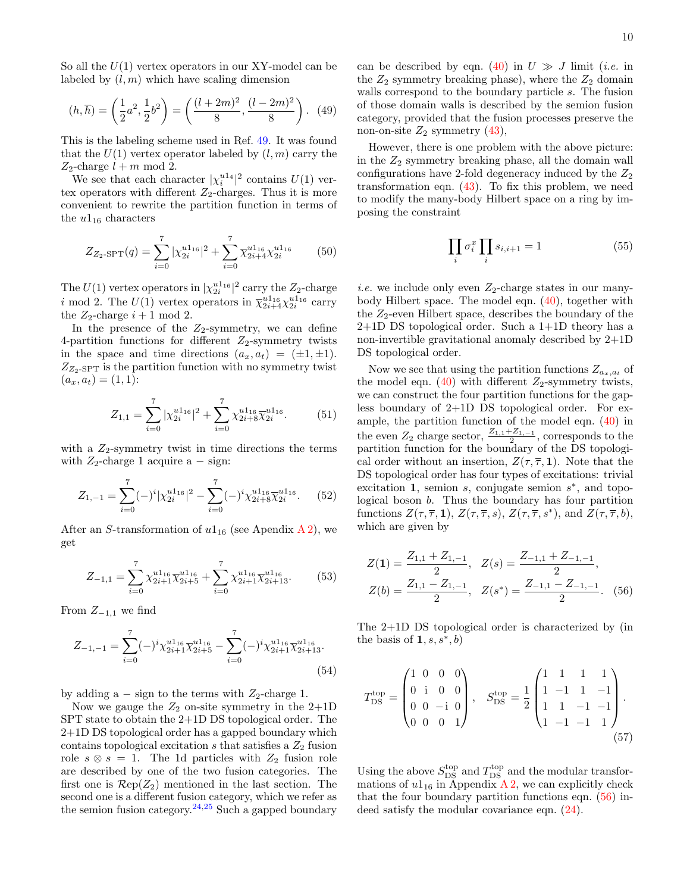So all the  $U(1)$  vertex operators in our XY-model can be labeled by  $(l, m)$  which have scaling dimension

$$
(h,\overline{h}) = \left(\frac{1}{2}a^2, \frac{1}{2}b^2\right) = \left(\frac{(l+2m)^2}{8}, \frac{(l-2m)^2}{8}\right). (49)
$$

This is the labeling scheme used in Ref. [49.](#page-21-44) It was found that the  $U(1)$  vertex operator labeled by  $(l, m)$  carry the  $Z_2$ -charge  $l + m \mod 2$ .

We see that each character  $|\chi_i^{u1_4}|^2$  contains  $U(1)$  vertex operators with different  $Z_2$ -charges. Thus it is more convenient to rewrite the partition function in terms of the  $u1_{16}$  characters

$$
Z_{Z_2-\text{SPT}}(q) = \sum_{i=0}^{7} |\chi_{2i}^{u1_{16}}|^2 + \sum_{i=0}^{7} \overline{\chi}_{2i+4}^{u1_{16}} \chi_{2i}^{u1_{16}} \qquad (50)
$$

The  $U(1)$  vertex operators in  $|\chi_{2i}^{u1_{16}}|^2$  carry the  $Z_2$ -charge *i* mod 2. The  $U(1)$  vertex operators in  $\overline{\chi}_{2i+4}^{u1_{16}} \chi_{2i}^{u1_{16}}$  carry the  $Z_2$ -charge  $i + 1 \mod 2$ .

In the presence of the  $Z_2$ -symmetry, we can define 4-partition functions for different  $Z_2$ -symmetry twists in the space and time directions  $(a_x, a_t) = (\pm 1, \pm 1).$  $Z_{Z_2\text{-SPT}}$  is the partition function with no symmetry twist  $(a_x, a_t) = (1, 1):$ 

$$
Z_{1,1} = \sum_{i=0}^{7} |\chi_{2i}^{u1_{16}}|^2 + \sum_{i=0}^{7} \chi_{2i+8}^{u1_{16}} \overline{\chi}_{2i}^{u1_{16}}.
$$
 (51)

with a  $Z_2$ -symmetry twist in time directions the terms with  $Z_2$ -charge 1 acquire a – sign:

$$
Z_{1,-1} = \sum_{i=0}^{7} (-)^{i} |\chi_{2i}^{u_{116}}|^{2} - \sum_{i=0}^{7} (-)^{i} \chi_{2i+8}^{u_{116}} \overline{\chi}_{2i}^{u_{116}}.
$$
 (52)

After an S-transformation of  $u1_{16}$  (see Apendix [A 2\)](#page-17-0), we get

$$
Z_{-1,1} = \sum_{i=0}^{7} \chi_{2i+1}^{u_{116}} \overline{\chi}_{2i+5}^{u_{116}} + \sum_{i=0}^{7} \chi_{2i+1}^{u_{116}} \overline{\chi}_{2i+13}^{u_{116}}.
$$
 (53)

From  $Z_{-1,1}$  we find

$$
Z_{-1,-1} = \sum_{i=0}^{7} (-)^i \chi_{2i+1}^{u1_{16}} \overline{\chi}_{2i+5}^{u1_{16}} - \sum_{i=0}^{7} (-)^i \chi_{2i+1}^{u1_{16}} \overline{\chi}_{2i+13}^{u1_{16}}.
$$
\n(54)

by adding a  $-$  sign to the terms with  $Z_2$ -charge 1.

Now we gauge the  $Z_2$  on-site symmetry in the 2+1D SPT state to obtain the 2+1D DS topological order. The 2+1D DS topological order has a gapped boundary which contains topological excitation  $s$  that satisfies a  $Z_2$  fusion role  $s \otimes s = 1$ . The 1d particles with  $Z_2$  fusion role are described by one of the two fusion categories. The first one is  $\mathcal{R}ep(Z_2)$  mentioned in the last section. The second one is a different fusion category, which we refer as the semion fusion category.<sup>[24,](#page-21-23)[25](#page-21-24)</sup> Such a gapped boundary

can be described by eqn. [\(40\)](#page-8-1) in  $U \gg J$  limit (*i.e.* in the  $Z_2$  symmetry breaking phase), where the  $Z_2$  domain walls correspond to the boundary particle s. The fusion of those domain walls is described by the semion fusion category, provided that the fusion processes preserve the non-on-site  $Z_2$  symmetry  $(43)$ ,

However, there is one problem with the above picture: in the  $Z_2$  symmetry breaking phase, all the domain wall configurations have 2-fold degeneracy induced by the  $Z_2$ transformation eqn. [\(43\)](#page-8-3). To fix this problem, we need to modify the many-body Hilbert space on a ring by imposing the constraint

$$
\prod_{i} \sigma_i^x \prod_{i} s_{i,i+1} = 1 \tag{55}
$$

*i.e.* we include only even  $Z_2$ -charge states in our manybody Hilbert space. The model eqn. [\(40\)](#page-8-1), together with the  $Z_2$ -even Hilbert space, describes the boundary of the  $2+1D$  DS topological order. Such a  $1+1D$  theory has a non-invertible gravitational anomaly described by 2+1D DS topological order.

Now we see that using the partition functions  $Z_{a_x,a_t}$  of the model eqn. [\(40\)](#page-8-1) with different  $Z_2$ -symmetry twists, we can construct the four partition functions for the gapless boundary of 2+1D DS topological order. For example, the partition function of the model eqn. [\(40\)](#page-8-1) in the even  $Z_2$  charge sector,  $\frac{Z_{1,1}+Z_{1,-1}}{2}$ , corresponds to the partition function for the boundary of the DS topological order without an insertion,  $Z(\tau, \overline{\tau}, 1)$ . Note that the DS topological order has four types of excitations: trivial excitation 1, semion  $s$ , conjugate semion  $s^*$ , and topological boson b. Thus the boundary has four partition functions  $Z(\tau, \overline{\tau}, 1), Z(\tau, \overline{\tau}, s), Z(\tau, \overline{\tau}, s^*)$ , and  $Z(\tau, \overline{\tau}, b)$ , which are given by

<span id="page-9-0"></span>
$$
Z(1) = \frac{Z_{1,1} + Z_{1,-1}}{2}, \quad Z(s) = \frac{Z_{-1,1} + Z_{-1,-1}}{2},
$$
  

$$
Z(b) = \frac{Z_{1,1} - Z_{1,-1}}{2}, \quad Z(s^*) = \frac{Z_{-1,1} - Z_{-1,-1}}{2}.
$$
 (56)

The 2+1D DS topological order is characterized by (in the basis of  $1, s, s^*, b$ 

<span id="page-9-1"></span>
$$
T_{\text{DS}}^{\text{top}} = \begin{pmatrix} 1 & 0 & 0 & 0 \\ 0 & \mathrm{i} & 0 & 0 \\ 0 & 0 & -\mathrm{i} & 0 \\ 0 & 0 & 0 & 1 \end{pmatrix}, \quad S_{\text{DS}}^{\text{top}} = \frac{1}{2} \begin{pmatrix} 1 & 1 & 1 & 1 \\ 1 & -1 & 1 & -1 \\ 1 & 1 & -1 & -1 \\ 1 & -1 & -1 & 1 \end{pmatrix}.
$$
\n
$$
(57)
$$

Using the above  $S_{\text{DS}}^{\text{top}}$  and  $T_{\text{DS}}^{\text{top}}$  and the modular transformations of  $u1_{16}$  in Appendix [A 2,](#page-17-0) we can explicitly check that the four boundary partition functions eqn. [\(56\)](#page-9-0) indeed satisfy the modular covariance eqn. [\(24\)](#page-5-1).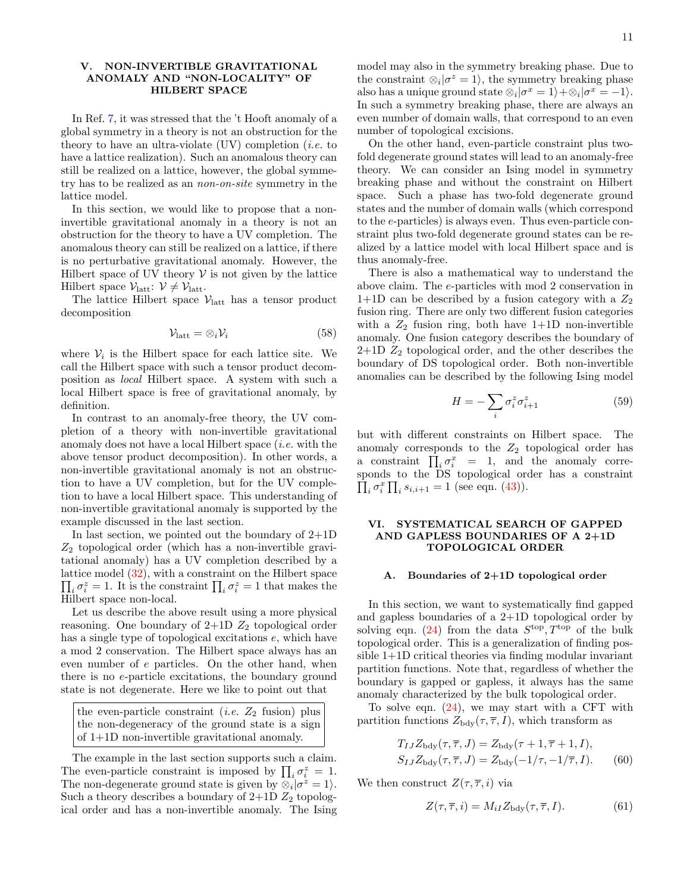### <span id="page-10-0"></span>V. NON-INVERTIBLE GRAVITATIONAL ANOMALY AND "NON-LOCALITY" OF HILBERT SPACE

In Ref. [7,](#page-21-7) it was stressed that the 't Hooft anomaly of a global symmetry in a theory is not an obstruction for the theory to have an ultra-violate  $(VV)$  completion *(i.e.* to have a lattice realization). Such an anomalous theory can still be realized on a lattice, however, the global symmetry has to be realized as an non-on-site symmetry in the lattice model.

In this section, we would like to propose that a noninvertible gravitational anomaly in a theory is not an obstruction for the theory to have a UV completion. The anomalous theory can still be realized on a lattice, if there is no perturbative gravitational anomaly. However, the Hilbert space of UV theory  $\mathcal V$  is not given by the lattice Hilbert space  $\mathcal{V}_{\text{latt}}: \mathcal{V} \neq \mathcal{V}_{\text{latt}}.$ 

The lattice Hilbert space  $V_{\text{latt}}$  has a tensor product decomposition

$$
\mathcal{V}_{\text{latt}} = \otimes_i \mathcal{V}_i \tag{58}
$$

where  $V_i$  is the Hilbert space for each lattice site. We call the Hilbert space with such a tensor product decomposition as local Hilbert space. A system with such a local Hilbert space is free of gravitational anomaly, by definition.

In contrast to an anomaly-free theory, the UV completion of a theory with non-invertible gravitational anomaly does not have a local Hilbert space (i.e. with the above tensor product decomposition). In other words, a non-invertible gravitational anomaly is not an obstruction to have a UV completion, but for the UV completion to have a local Hilbert space. This understanding of non-invertible gravitational anomaly is supported by the example discussed in the last section.

In last section, we pointed out the boundary of  $2+1D$  $Z_2$  topological order (which has a non-invertible gravitational anomaly) has a UV completion described by a lattice model ( [32\)](#page-7-1), with a constraint on the Hilbert space  $\prod_i \sigma_i^z = 1$ . It is the constraint  $\prod_i \sigma_i^z = 1$  that makes the Hilbert space non-local.

Let us describe the above result using a more physical reasoning. One boundary of  $2+1D$   $Z_2$  topological order has a single type of topological excitations  $e$ , which have a mod 2 conservation. The Hilbert space always has an even number of e particles. On the other hand, when there is no e-particle excitations, the boundary ground state is not degenerate. Here we like to point out that

the even-particle constraint (*i.e.*  $Z_2$  fusion) plus the non-degeneracy of the ground state is a sign of 1+1D non-invertible gravitational anomaly.

The example in the last section supports such a claim. The even-particle constraint is imposed by  $\prod_i \sigma_i^z = 1$ . The non-degenerate ground state is given by  $\hat{\otimes}_i |\sigma^z = 1\rangle$ . Such a theory describes a boundary of  $2+1D$   $Z_2$  topological order and has a non-invertible anomaly. The Ising

model may also in the symmetry breaking phase. Due to the constraint  $\otimes_i |\sigma^z = 1\rangle$ , the symmetry breaking phase also has a unique ground state  $\otimes_i |\sigma^x = 1\rangle + \otimes_i |\sigma^x = -1\rangle$ . In such a symmetry breaking phase, there are always an even number of domain walls, that correspond to an even number of topological excisions.

On the other hand, even-particle constraint plus twofold degenerate ground states will lead to an anomaly-free theory. We can consider an Ising model in symmetry breaking phase and without the constraint on Hilbert space. Such a phase has two-fold degenerate ground states and the number of domain walls (which correspond to the e-particles) is always even. Thus even-particle constraint plus two-fold degenerate ground states can be realized by a lattice model with local Hilbert space and is thus anomaly-free.

There is also a mathematical way to understand the above claim. The e-particles with mod 2 conservation in  $1+1D$  can be described by a fusion category with a  $Z_2$ fusion ring. There are only two different fusion categories with a  $Z_2$  fusion ring, both have  $1+1D$  non-invertible anomaly. One fusion category describes the boundary of  $2+1D$   $Z_2$  topological order, and the other describes the boundary of DS topological order. Both non-invertible anomalies can be described by the following Ising model

$$
H = -\sum_{i} \sigma_i^z \sigma_{i+1}^z \tag{59}
$$

but with different constraints on Hilbert space. The anomaly corresponds to the  $Z_2$  topological order has a constraint  $\prod_i \sigma_i^x = 1$ , and the anomaly corresponds to the DS topological order has a constraint  $\prod_i \sigma_i^x \prod_i s_{i,i+1} = 1$  (see eqn. [\(43\)](#page-8-3)).

### <span id="page-10-1"></span>VI. SYSTEMATICAL SEARCH OF GAPPED AND GAPLESS BOUNDARIES OF A 2+1D TOPOLOGICAL ORDER

#### <span id="page-10-2"></span>A. Boundaries of 2+1D topological order

In this section, we want to systematically find gapped and gapless boundaries of a 2+1D topological order by solving eqn. [\(24\)](#page-5-1) from the data  $S^{\text{top}}, T^{\text{top}}$  of the bulk topological order. This is a generalization of finding possible 1+1D critical theories via finding modular invariant partition functions. Note that, regardless of whether the boundary is gapped or gapless, it always has the same anomaly characterized by the bulk topological order.

To solve eqn. [\(24\)](#page-5-1), we may start with a CFT with partition functions  $Z_{\text{bdy}}(\tau, \overline{\tau}, I)$ , which transform as

$$
T_{IJ}Z_{\text{bdy}}(\tau,\overline{\tau},J) = Z_{\text{bdy}}(\tau+1,\overline{\tau}+1,I),
$$
  
\n
$$
S_{IJ}Z_{\text{bdy}}(\tau,\overline{\tau},J) = Z_{\text{bdy}}(-1/\tau,-1/\overline{\tau},I). \tag{60}
$$

We then construct  $Z(\tau, \overline{\tau}, i)$  via

<span id="page-10-3"></span>
$$
Z(\tau,\overline{\tau},i) = M_{iI} Z_{\text{bdy}}(\tau,\overline{\tau},I). \tag{61}
$$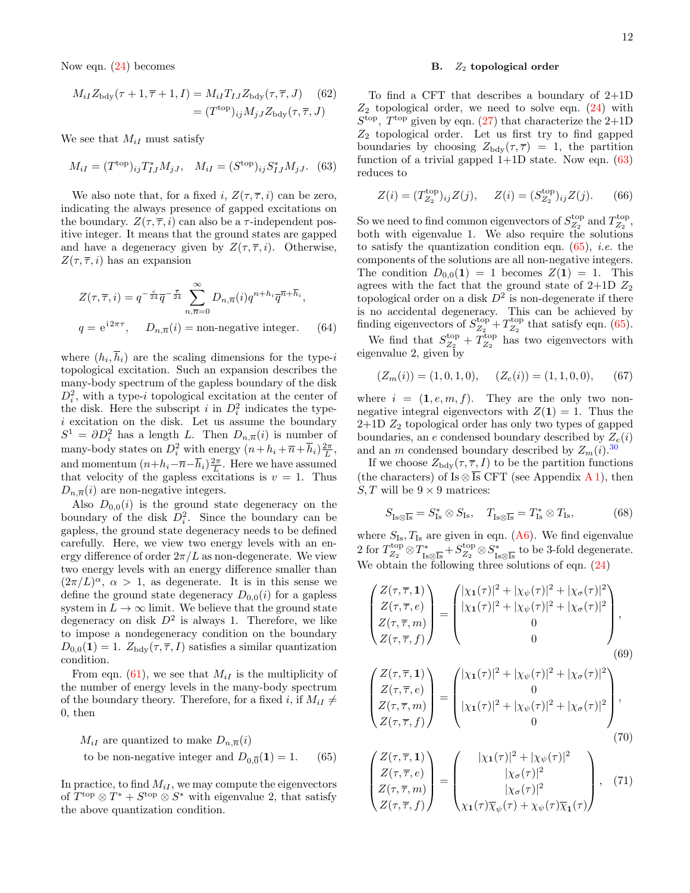Now eqn. [\(24\)](#page-5-1) becomes

$$
M_{iI}Z_{\text{bdy}}(\tau+1,\overline{\tau}+1,I) = M_{iI}T_{IJ}Z_{\text{bdy}}(\tau,\overline{\tau},J) \quad (62)
$$

$$
= (T^{\text{top}})_{ij}M_{jJ}Z_{\text{bdy}}(\tau,\overline{\tau},J)
$$

We see that  $M_{iI}$  must satisfy

$$
M_{iI} = (T^{\text{top}})_{ij} T^*_{IJ} M_{jJ}, \quad M_{iI} = (S^{\text{top}})_{ij} S^*_{IJ} M_{jJ}. \tag{63}
$$

We also note that, for a fixed i,  $Z(\tau, \overline{\tau}, i)$  can be zero, indicating the always presence of gapped excitations on the boundary.  $Z(\tau, \overline{\tau}, i)$  can also be a  $\tau$ -independent positive integer. It means that the ground states are gapped and have a degeneracy given by  $Z(\tau, \overline{\tau}, i)$ . Otherwise,  $Z(\tau, \overline{\tau}, i)$  has an expansion

$$
Z(\tau,\overline{\tau},i) = q^{-\frac{c}{24}} \overline{q}^{-\frac{\overline{c}}{24}} \sum_{n,\overline{n}=0}^{\infty} D_{n,\overline{n}}(i) q^{n+h_i} \overline{q}^{\overline{n}+\overline{h}_i},
$$
  
 
$$
q = e^{i2\pi\tau}, \qquad D_{n,\overline{n}}(i) = \text{non-negative integer.} \qquad (64)
$$

where  $(h_i, h_i)$  are the scaling dimensions for the type-i topological excitation. Such an expansion describes the many-body spectrum of the gapless boundary of the disk  $D_i^2$ , with a type-i topological excitation at the center of the disk. Here the subscript i in  $D_i^2$  indicates the type $i$  excitation on the disk. Let us assume the boundary  $S^1 = \partial D_i^2$  has a length L. Then  $D_{n,\overline{n}}(i)$  is number of many-body states on  $D_i^2$  with energy  $(n+h_i+\overline{n}+\overline{h}_i)\frac{2\pi}{L}$ , and momentum  $(n+h_i-\overline{n}-\overline{h}_i)\frac{2\pi}{L}$ . Here we have assumed that velocity of the gapless excitations is  $v = 1$ . Thus  $D_{n,\overline{n}}(i)$  are non-negative integers.

Also  $D_{0,0}(i)$  is the ground state degeneracy on the boundary of the disk  $D_i^2$ . Since the boundary can be gapless, the ground state degeneracy needs to be defined carefully. Here, we view two energy levels with an energy difference of order  $2\pi/L$  as non-degenerate. We view two energy levels with an energy difference smaller than  $(2\pi/L)^{\alpha}$ ,  $\alpha > 1$ , as degenerate. It is in this sense we define the ground state degeneracy  $D_{0,0}(i)$  for a gapless system in  $L \to \infty$  limit. We believe that the ground state degeneracy on disk  $D^2$  is always 1. Therefore, we like to impose a nondegeneracy condition on the boundary  $D_{0,0}(1) = 1$ .  $Z_{\text{bdy}}(\tau, \overline{\tau}, I)$  satisfies a similar quantization condition.

From eqn. [\(61\)](#page-10-3), we see that  $M_{iI}$  is the multiplicity of the number of energy levels in the many-body spectrum of the boundary theory. Therefore, for a fixed i, if  $M_{iI} \neq$ 0, then

$$
M_{iI}
$$
 are quantized to make  $D_{n,\overline{n}}(i)$   
to be non-negative integer and  $D_{0,\overline{0}}(1) = 1$ . (65)

In practice, to find  $M_{iI}$ , we may compute the eigenvectors of  $T^{\text{top}} \otimes T^* + S^{\text{top}} \otimes S^*$  with eigenvalue 2, that satisfy the above quantization condition.

### <span id="page-11-0"></span>B.  $Z_2$  topological order

To find a CFT that describes a boundary of 2+1D  $Z_2$  topological order, we need to solve eqn.  $(24)$  with  $S<sup>top</sup>$ ,  $T<sup>top</sup>$  given by eqn. [\(27\)](#page-6-5) that characterize the 2+1D  $Z_2$  topological order. Let us first try to find gapped boundaries by choosing  $Z_{\text{bdy}}(\tau, \overline{\tau}) = 1$ , the partition function of a trivial gapped  $1+1D$  state. Now eqn. [\(63\)](#page-11-1) reduces to

<span id="page-11-1"></span>
$$
Z(i) = (T_{Z_2}^{\text{top}})_{ij} Z(j), \quad Z(i) = (S_{Z_2}^{\text{top}})_{ij} Z(j). \quad (66)
$$

So we need to find common eigenvectors of  $S_{Z_2}^{\text{top}}$  and  $T_{Z_2}^{\text{top}}$ , both with eigenvalue 1. We also require the solutions to satisfy the quantization condition eqn.  $(65)$ , *i.e.* the components of the solutions are all non-negative integers. The condition  $D_{0,0}(1) = 1$  becomes  $Z(1) = 1$ . This agrees with the fact that the ground state of  $2+1D$   $Z_2$ topological order on a disk  $D^2$  is non-degenerate if there is no accidental degeneracy. This can be achieved by finding eigenvectors of  $S_{Z_2}^{\text{top}} + T_{Z_2}^{\text{top}}$  that satisfy eqn. [\(65\)](#page-11-2).

<span id="page-11-3"></span>We find that  $S_{Z_2}^{\text{top}} + T_{Z_2}^{\text{top}}$  has two eigenvectors with eigenvalue 2, given by

<span id="page-11-4"></span>
$$
(Z_m(i)) = (1, 0, 1, 0), \quad (Z_e(i)) = (1, 1, 0, 0), \quad (67)
$$

where  $i = (1, e, m, f)$ . They are the only two nonnegative integral eigenvectors with  $Z(1) = 1$ . Thus the  $2+1D$   $Z_2$  topological order has only two types of gapped boundaries, an e condensed boundary described by  $Z_e(i)$ and an m condensed boundary described by  $Z_m(i)$ .<sup>[30](#page-21-29)</sup>

If we choose  $Z_{\text{bdy}}(\tau, \overline{\tau}, I)$  to be the partition functions (the characters) of Is  $\otimes \overline{Is}$  CFT (see Appendix [A 1\)](#page-16-2), then  $S, T$  will be  $9 \times 9$  matrices:

$$
S_{\mathrm{Is}\otimes\overline{\mathrm{Is}}} = S_{\mathrm{Is}}^* \otimes S_{\mathrm{Is}}, \quad T_{\mathrm{Is}\otimes\overline{\mathrm{Is}}} = T_{\mathrm{Is}}^* \otimes T_{\mathrm{Is}},\tag{68}
$$

where  $S_{\text{Is}}$ ,  $T_{\text{Is}}$  are given in eqn. [\(A6\)](#page-16-3). We find eigenvalue 2 for  $T_{Z_2}^{\text{top}} \otimes T_{\text{Is}\otimes \overline{\text{Is}}}^* + S_{Z_2}^{\text{top}} \otimes S_{\text{Is}\otimes \overline{\text{Is}}}^*$  to be 3-fold degenerate. We obtain the following three solutions of eqn. [\(24\)](#page-5-1)

$$
\begin{pmatrix} Z(\tau,\overline{\tau},1) \\ Z(\tau,\overline{\tau},e) \\ Z(\tau,\overline{\tau},m) \\ Z(\tau,\overline{\tau},f) \end{pmatrix} = \begin{pmatrix} |\chi_1(\tau)|^2 + |\chi_{\psi}(\tau)|^2 + |\chi_{\sigma}(\tau)|^2 \\ |\chi_1(\tau)|^2 + |\chi_{\psi}(\tau)|^2 + |\chi_{\sigma}(\tau)|^2 \\ 0 \\ 0 \end{pmatrix},
$$
\n(69)

$$
\begin{pmatrix} Z(\tau,\overline{\tau},1) \\ Z(\tau,\overline{\tau},e) \\ Z(\tau,\overline{\tau},m) \\ Z(\tau,\overline{\tau},f) \end{pmatrix} = \begin{pmatrix} |\chi_1(\tau)|^2 + |\chi_{\psi}(\tau)|^2 + |\chi_{\sigma}(\tau)|^2 \\ 0 \\ |\chi_1(\tau)|^2 + |\chi_{\psi}(\tau)|^2 + |\chi_{\sigma}(\tau)|^2 \\ 0 \end{pmatrix},
$$
\n(70)

<span id="page-11-5"></span><span id="page-11-2"></span>
$$
\begin{pmatrix} Z(\tau,\overline{\tau},1) \\ Z(\tau,\overline{\tau},e) \\ Z(\tau,\overline{\tau},m) \\ Z(\tau,\overline{\tau},f) \end{pmatrix} = \begin{pmatrix} |\chi_1(\tau)|^2 + |\chi_{\psi}(\tau)|^2 \\ |\chi_{\sigma}(\tau)|^2 \\ |\chi_{\sigma}(\tau)|^2 \\ \chi_1(\tau)\overline{\chi}_{\psi}(\tau) + \chi_{\psi}(\tau)\overline{\chi}_1(\tau) \end{pmatrix}, (71)
$$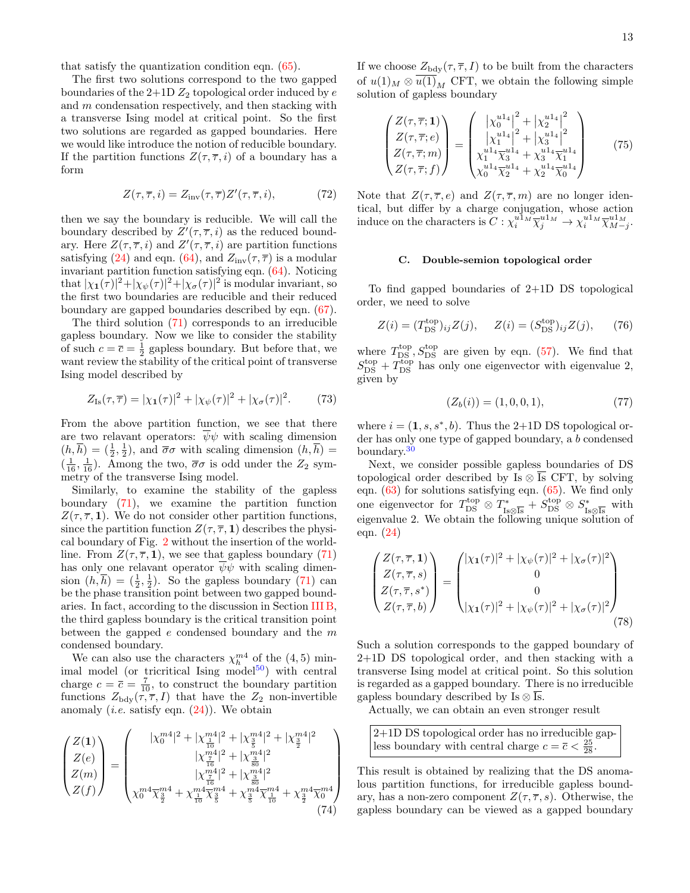The first two solutions correspond to the two gapped boundaries of the  $2+1D Z_2$  topological order induced by  $e$ and m condensation respectively, and then stacking with a transverse Ising model at critical point. So the first two solutions are regarded as gapped boundaries. Here we would like introduce the notion of reducible boundary. If the partition functions  $Z(\tau, \overline{\tau}, i)$  of a boundary has a form

$$
Z(\tau,\overline{\tau},i) = Z_{\text{inv}}(\tau,\overline{\tau})Z'(\tau,\overline{\tau},i),\tag{72}
$$

then we say the boundary is reducible. We will call the boundary described by  $Z'(\tau, \overline{\tau}, i)$  as the reduced boundary. Here  $Z(\tau, \overline{\tau}, i)$  and  $Z'(\tau, \overline{\tau}, i)$  are partition functions satisfying [\(24\)](#page-5-1) and eqn. [\(64\)](#page-11-3), and  $Z_{inv}(\tau, \overline{\tau})$  is a modular invariant partition function satisfying eqn. [\(64\)](#page-11-3). Noticing that  $|\chi_1(\tau)|^2 + |\chi_{\psi}(\tau)|^2 + |\chi_{\sigma}(\tau)|^2$  is modular invariant, so the first two boundaries are reducible and their reduced boundary are gapped boundaries described by eqn. [\(67\)](#page-11-4).

The third solution [\(71\)](#page-11-5) corresponds to an irreducible gapless boundary. Now we like to consider the stability of such  $c = \overline{c} = \frac{1}{2}$  gapless boundary. But before that, we want review the stability of the critical point of transverse Ising model described by

$$
Z_{\rm Is}(\tau,\overline{\tau}) = |\chi_1(\tau)|^2 + |\chi_{\psi}(\tau)|^2 + |\chi_{\sigma}(\tau)|^2. \tag{73}
$$

From the above partition function, we see that there are two relavant operators:  $\psi \psi$  with scaling dimension  $(h, \overline{h}) = (\frac{1}{2}, \frac{1}{2})$ , and  $\overline{\sigma}\sigma$  with scaling dimension  $(h, \overline{h}) =$  $(\frac{1}{16}, \frac{1}{16})$ . Among the two,  $\overline{\sigma}\sigma$  is odd under the  $Z_2$  symmetry of the transverse Ising model.

Similarly, to examine the stability of the gapless boundary [\(71\)](#page-11-5), we examine the partition function  $Z(\tau, \overline{\tau}, 1)$ . We do not consider other partition functions, since the partition function  $Z(\tau, \overline{\tau}, 1)$  describes the physical boundary of Fig. [2](#page-4-2) without the insertion of the worldline. From  $Z(\tau, \overline{\tau}, 1)$ , we see that gapless boundary [\(71\)](#page-11-5) has only one relavant operator  $\psi \psi$  with scaling dimension  $(h,\overline{h}) = (\frac{1}{2},\frac{1}{2})$ . So the gapless boundary [\(71\)](#page-11-5) can be the phase transition point between two gapped boundaries. In fact, according to the discussion in Section [III B,](#page-7-0) the third gapless boundary is the critical transition point between the gapped  $e$  condensed boundary and the  $m$ condensed boundary.

We can also use the characters  $\chi_h^{m4}$  of the (4,5) minimal model (or tricritical Ising model $^{50}$  $^{50}$  $^{50}$ ) with central charge  $c = \overline{c} = \frac{7}{10}$ , to construct the boundary partition functions  $Z_{\text{bdy}}(\tau, \overline{\tau}, I)$  that have the  $Z_2$  non-invertible anomaly (*i.e.* satisfy eqn.  $(24)$ ). We obtain

$$
\begin{pmatrix} Z(1) \\ Z(e) \\ Z(m) \\ Z(f) \end{pmatrix} = \begin{pmatrix} |\chi_0^{m4}|^2 + |\chi_{\frac{1}{10}}^{m4}|^2 + |\chi_{\frac{3}{5}}^{m4}|^2 + |\chi_{\frac{3}{2}}^{m4}|^2 \\ |\chi_{\frac{17}{16}}^{m4}|^2 + |\chi_{\frac{3}{80}}^{m4}|^2 \\ |\chi_{\frac{17}{16}}^{m4}|^2 + |\chi_{\frac{3}{80}}^{m4}|^2 \\ \chi_0^{m4} \overline{\chi_{\frac{3}{2}}^{m4}} + \chi_{\frac{1}{10}}^{m4} \overline{\chi_{\frac{3}{5}}^{m4}} + \chi_{\frac{3}{5}}^{m4} \overline{\chi_{\frac{1}{10}}^{m4}} + \chi_{\frac{3}{2}}^{m4} \overline{\chi_0}^{m4} \end{pmatrix}
$$
\n(74)

If we choose  $Z_{\text{bdy}}(\tau, \overline{\tau}, I)$  to be built from the characters of  $u(1)_M \otimes u(1)_M$  CFT, we obtain the following simple solution of gapless boundary

$$
\begin{pmatrix} Z(\tau,\overline{\tau};1) \\ Z(\tau,\overline{\tau};e) \\ Z(\tau,\overline{\tau};m) \\ Z(\tau,\overline{\tau};f) \end{pmatrix} = \begin{pmatrix} |\chi_0^{u1_4}|^2 + |\chi_2^{u1_4}|^2 \\ |\chi_1^{u1_4}|^2 + |\chi_3^{u1_4}|^2 \\ \chi_1^{u1_4} \overline{\chi}_3^{u1_4} + \chi_3^{u1_4} \overline{\chi}_1^{u1_4} \\ \chi_0^{u1_4} \overline{\chi}_2^{u1_4} + \chi_2^{u1_4} \overline{\chi}_0^{u1_4} \end{pmatrix}
$$
(75)

Note that  $Z(\tau, \overline{\tau}, e)$  and  $Z(\tau, \overline{\tau}, m)$  are no longer identical, but differ by a charge conjugation, whose action induce on the characters is  $C: \chi_i^{u \cdot 1_M} \overline{\chi}_j^{u \cdot 1_M} \to \chi_i^{u \cdot 1_M} \overline{\chi}_{M-j}^{u \cdot 1_M}$ .

#### <span id="page-12-0"></span>C. Double-semion topological order

To find gapped boundaries of 2+1D DS topological order, we need to solve

$$
Z(i) = (T_{\text{DS}}^{\text{top}})_{ij} Z(j), \quad Z(i) = (S_{\text{DS}}^{\text{top}})_{ij} Z(j), \quad (76)
$$

where  $T_{DS}^{top}$ ,  $S_{DS}^{top}$  are given by eqn. [\(57\)](#page-9-1). We find that  $S_{\text{DS}}^{\text{top}} + T_{\text{DS}}^{\text{top}}$  has only one eigenvector with eigenvalue 2, given by

<span id="page-12-1"></span>
$$
(Z_b(i)) = (1, 0, 0, 1), \tag{77}
$$

where  $i = (1, s, s^*, b)$ . Thus the 2+1D DS topological order has only one type of gapped boundary, a b condensed boundary.[30](#page-21-29)

Next, we consider possible gapless boundaries of DS topological order described by Is  $\otimes$  Is CFT, by solving eqn. [\(63\)](#page-11-1) for solutions satisfying eqn. [\(65\)](#page-11-2). We find only one eigenvector for  $T_{\text{DS}}^{\text{top}} \otimes T_{\text{Is} \otimes \overline{\text{Is}}}^* + S_{\text{DS}}^{\text{top}} \otimes S_{\text{Is} \otimes \overline{\text{Is}}}^*$  with eigenvalue 2. We obtain the following unique solution of eqn. [\(24\)](#page-5-1)

$$
\begin{pmatrix} Z(\tau,\overline{\tau},1) \\ Z(\tau,\overline{\tau},s) \\ Z(\tau,\overline{\tau},s^*) \\ Z(\tau,\overline{\tau},b) \end{pmatrix} = \begin{pmatrix} |\chi_1(\tau)|^2 + |\chi_{\psi}(\tau)|^2 + |\chi_{\sigma}(\tau)|^2 \\ 0 \\ 0 \\ |\chi_1(\tau)|^2 + |\chi_{\psi}(\tau)|^2 + |\chi_{\sigma}(\tau)|^2 \end{pmatrix}
$$
(78)

Such a solution corresponds to the gapped boundary of 2+1D DS topological order, and then stacking with a transverse Ising model at critical point. So this solution is regarded as a gapped boundary. There is no irreducible gapless boundary described by Is  $\otimes \overline{Is}$ .

Actually, we can obtain an even stronger result

2+1D DS topological order has no irreducible gapless boundary with central charge 
$$
c = \overline{c} < \frac{25}{28}
$$
.

This result is obtained by realizing that the DS anomalous partition functions, for irreducible gapless boundary, has a non-zero component  $Z(\tau, \overline{\tau}, s)$ . Otherwise, the gapless boundary can be viewed as a gapped boundary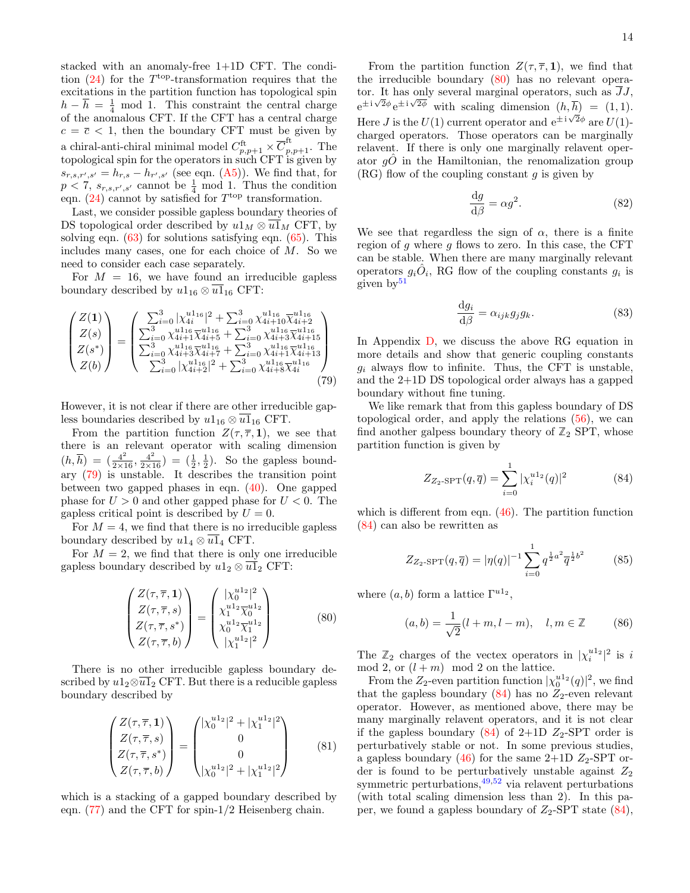stacked with an anomaly-free 1+1D CFT. The condition  $(24)$  for the T<sup>top</sup>-transformation requires that the excitations in the partition function has topological spin  $h - \overline{h} = \frac{1}{4} \mod 1$ . This constraint the central charge of the anomalous CFT. If the CFT has a central charge  $c = \overline{c} < 1$ , then the boundary CFT must be given by a chiral-anti-chiral minimal model  $C_{p,p+1}^{\text{ft}} \times \overline{C}_{p,p+1}^{\text{ft}}$ . The topological spin for the operators in such CFT is given by  $s_{r,s,r',s'} = h_{r,s} - h_{r',s'}$  (see eqn. [\(A5\)](#page-16-4)). We find that, for  $p < 7$ ,  $s_{r,s,r',s'}$  cannot be  $\frac{1}{4}$  mod 1. Thus the condition eqn.  $(24)$  cannot by satisfied for  $T^{\text{top}}$  transformation.

Last, we consider possible gapless boundary theories of DS topological order described by  $u1_M \otimes \overline{u1}_M$  CFT, by solving eqn.  $(63)$  for solutions satisfying eqn.  $(65)$ . This includes many cases, one for each choice of M. So we need to consider each case separately.

For  $M = 16$ , we have found an irreducible gapless boundary described by  $u1_{16} \otimes \overline{u1}_{16}$  CFT:

$$
\begin{pmatrix} Z(1) \\ Z(s) \\ Z(s^*) \\ Z(s^*) \\ Z(b) \end{pmatrix} = \begin{pmatrix} \sum_{i=0}^3 |\chi_{4i}^{u1_{16}}|^2 + \sum_{i=0}^3 \chi_{4i+16}^{u1_{16}} \overline{\chi}_{4i+2}^{u1_{16}} \\ \sum_{i=0}^3 \chi_{4i+14}^{u1_{16}} \overline{\chi}_{4i+5}^{u1_{16}} + \sum_{i=0}^3 \chi_{4i+34}^{u1_{16}} \overline{\chi}_{4i+15}^{u1_{16}} \\ \sum_{i=0}^3 \chi_{4i+34}^{u1_{16}} \overline{\chi}_{4i+7}^{u1_{16}} + \sum_{i=0}^3 \chi_{4i+14}^{u1_{16}} \overline{\chi}_{4i+13}^{u1_{16}} \\ \sum_{i=0}^3 |\chi_{4i+2}^{u1_{16}}|^2 + \sum_{i=0}^3 \chi_{4i+84}^{u1_{16}} \overline{\chi}_{4i}^{u1_{16}} \end{pmatrix}
$$
(79)

However, it is not clear if there are other irreducible gapless boundaries described by  $u1_{16} \otimes u1_{16}$  CFT.

From the partition function  $Z(\tau, \overline{\tau}, 1)$ , we see that there is an relevant operator with scaling dimension  $(h,\overline{h}) = (\frac{4^2}{2 \times 16}, \frac{4^2}{2 \times 16}) = (\frac{1}{2},\frac{1}{2})$ . So the gapless boundary [\(79\)](#page-13-0) is unstable. It describes the transition point between two gapped phases in eqn. [\(40\)](#page-8-1). One gapped phase for  $U > 0$  and other gapped phase for  $U < 0$ . The gapless critical point is described by  $U = 0$ .

For  $M = 4$ , we find that there is no irreducible gapless boundary described by  $u1_4 \otimes \overline{u1}_4$  CFT.

For  $M = 2$ , we find that there is only one irreducible gapless boundary described by  $u1_2 \otimes \overline{u1}_2$  CFT:

$$
\begin{pmatrix} Z(\tau,\overline{\tau},1) \\ Z(\tau,\overline{\tau},s) \\ Z(\tau,\overline{\tau},s^*) \\ Z(\tau,\overline{\tau},b) \end{pmatrix} = \begin{pmatrix} |\chi_0^{u1_2}|^2 \\ \chi_1^{u1_2} \overline{\chi_0^{u1_2}} \\ \chi_0^{u1_2} \overline{\chi_1^{u1_2}} \\ |\chi_1^{u1_2}|^2 \end{pmatrix}
$$
 (80)

There is no other irreducible gapless boundary described by  $u1_2 \otimes \overline{u1}_2$  CFT. But there is a reducible gapless boundary described by

$$
\begin{pmatrix} Z(\tau,\overline{\tau},1) \\ Z(\tau,\overline{\tau},s) \\ Z(\tau,\overline{\tau},s^*) \\ Z(\tau,\overline{\tau},b) \end{pmatrix} = \begin{pmatrix} |\chi_0^{u1_2}|^2 + |\chi_1^{u1_2}|^2 \\ 0 \\ 0 \\ |\chi_0^{u1_2}|^2 + |\chi_1^{u1_2}|^2 \end{pmatrix}
$$
(81)

which is a stacking of a gapped boundary described by eqn. [\(77\)](#page-12-1) and the CFT for spin-1/2 Heisenberg chain.

From the partition function  $Z(\tau, \overline{\tau}, 1)$ , we find that the irreducible boundary [\(80\)](#page-13-1) has no relevant operator. It has only several marginal operators, such as  $\overline{JJ}$ ,  $e^{\pm i\sqrt{2}\phi}e^{\pm i\sqrt{2}\phi}$  with scaling dimension  $(h,\overline{h}) = (1,1)$ . Here *J* is the  $U(1)$  current operator and  $e^{\pm i\sqrt{2}\phi}$  are  $U(1)$ charged operators. Those operators can be marginally relavent. If there is only one marginally relavent operator  $q\ddot{o}$  in the Hamiltonian, the renomalization group  $(RG)$  flow of the coupling constant g is given by

$$
\frac{\mathrm{d}g}{\mathrm{d}\beta} = \alpha g^2. \tag{82}
$$

We see that regardless the sign of  $\alpha$ , there is a finite region of  $g$  where  $g$  flows to zero. In this case, the CFT can be stable. When there are many marginally relevant operators  $g_i \hat{O}_i$ , RG flow of the coupling constants  $g_i$  is given  $by<sup>51</sup>$  $by<sup>51</sup>$  $by<sup>51</sup>$ 

$$
\frac{\mathrm{d}g_i}{\mathrm{d}\beta} = \alpha_{ijk} g_j g_k. \tag{83}
$$

<span id="page-13-0"></span>In Appendix [D,](#page-20-1) we discuss the above RG equation in more details and show that generic coupling constants  $g_i$  always flow to infinite. Thus, the CFT is unstable, and the 2+1D DS topological order always has a gapped boundary without fine tuning.

We like remark that from this gapless boundary of DS topological order, and apply the relations [\(56\)](#page-9-0), we can find another galpess boundary theory of  $\mathbb{Z}_2$  SPT, whose partition function is given by

<span id="page-13-2"></span>
$$
Z_{Z_2-\text{SPT}}(q,\overline{q}) = \sum_{i=0}^{1} |\chi_i^{u1_2}(q)|^2
$$
 (84)

which is different from eqn. [\(46\)](#page-8-4). The partition function [\(84\)](#page-13-2) can also be rewritten as

$$
Z_{Z_2-\text{SPT}}(q,\overline{q}) = |\eta(q)|^{-1} \sum_{i=0}^{1} q^{\frac{1}{2}a^2} \overline{q}^{\frac{1}{2}b^2}
$$
 (85)

<span id="page-13-1"></span>where  $(a, b)$  form a lattice  $\Gamma^{u1_2}$ ,

$$
(a, b) = \frac{1}{\sqrt{2}}(l + m, l - m), \quad l, m \in \mathbb{Z}
$$
 (86)

The  $\mathbb{Z}_2$  charges of the vectex operators in  $|\chi_i^{u_1}|^2$  is i mod 2, or  $(l+m)$  mod 2 on the lattice.

From the  $Z_2$ -even partition function  $|\chi_0^{u1_2}(q)|^2$ , we find that the gapless boundary  $(84)$  has no  $Z_2$ -even relevant operator. However, as mentioned above, there may be many marginally relavent operators, and it is not clear if the gapless boundary  $(84)$  of 2+1D  $Z_2$ -SPT order is perturbatively stable or not. In some previous studies, a gapless boundary  $(46)$  for the same 2+1D  $Z_2$ -SPT order is found to be perturbatively unstable against  $Z_2$ symmetric perturbations,  $49,52$  $49,52$  via relavent perturbations (with total scaling dimension less than 2). In this paper, we found a gapless boundary of  $Z_2$ -SPT state [\(84\)](#page-13-2),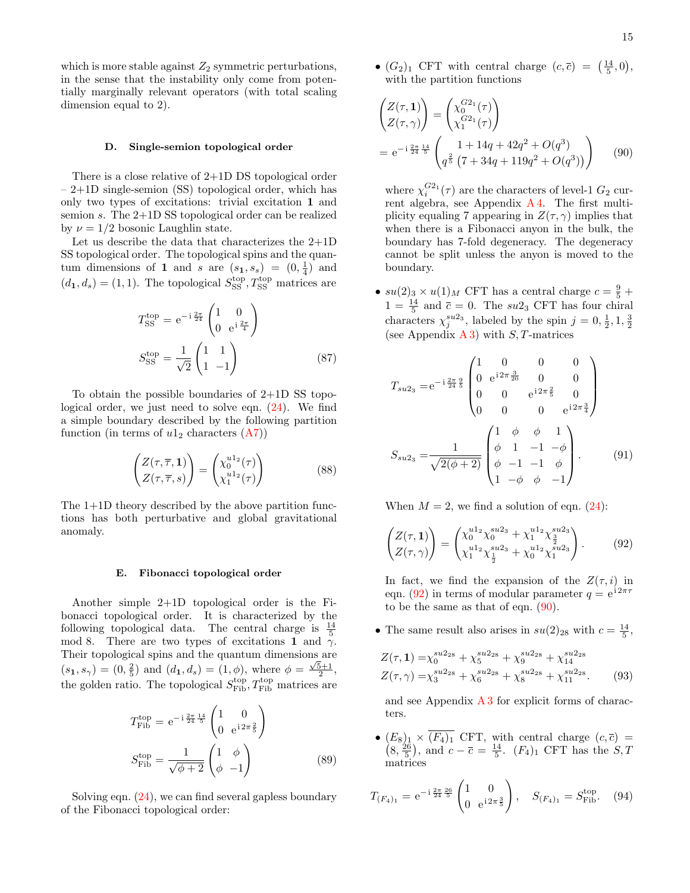which is more stable against  $Z_2$  symmetric perturbations, in the sense that the instability only come from potentially marginally relevant operators (with total scaling dimension equal to 2).

#### <span id="page-14-0"></span>D. Single-semion topological order

There is a close relative of 2+1D DS topological order – 2+1D single-semion (SS) topological order, which has only two types of excitations: trivial excitation 1 and semion s. The 2+1D SS topological order can be realized by  $\nu = 1/2$  bosonic Laughlin state.

Let us describe the data that characterizes the 2+1D SS topological order. The topological spins and the quantum dimensions of 1 and s are  $(s_1, s_s) = (0, \frac{1}{4})$  and  $(d_1, d_s) = (1, 1)$ . The topological  $S_{SS}^{top}$ ,  $T_{SS}^{top}$  matrices are

$$
T_{\rm SS}^{\rm top} = e^{-i\frac{2\pi}{24}} \begin{pmatrix} 1 & 0\\ 0 & e^{i\frac{2\pi}{4}} \end{pmatrix}
$$

$$
S_{\rm SS}^{\rm top} = \frac{1}{\sqrt{2}} \begin{pmatrix} 1 & 1\\ 1 & -1 \end{pmatrix}
$$
(87)

To obtain the possible boundaries of 2+1D SS topological order, we just need to solve eqn. [\(24\)](#page-5-1). We find a simple boundary described by the following partition function (in terms of  $u1_2$  characters  $(A7)$ )

$$
\begin{pmatrix} Z(\tau,\overline{\tau},1) \\ Z(\tau,\overline{\tau},s) \end{pmatrix} = \begin{pmatrix} \chi_0^{u1_2}(\tau) \\ \chi_1^{u1_2}(\tau) \end{pmatrix}
$$
 (88)

The 1+1D theory described by the above partition functions has both perturbative and global gravitational anomaly.

#### <span id="page-14-1"></span>E. Fibonacci topological order

Another simple 2+1D topological order is the Fibonacci topological order. It is characterized by the following topological data. The central charge is  $\frac{14}{5}$ mod 8. There are two types of excitations 1 and  $\gamma$ . Their topological spins and the quantum dimensions are (s<sub>1</sub>, s<sub>γ</sub>) = (0,  $\frac{2}{5}$ ) and (d<sub>1</sub>, d<sub>s</sub>) = (1,  $\phi$ ), where  $\phi = \frac{\sqrt{5}+1}{2}$ , the golden ratio. The topological  $S_{\text{Fib}}^{\text{top}}, T_{\text{Fib}}^{\text{top}}$  matrices are

$$
T_{\rm Fib}^{\rm top} = e^{-i\frac{2\pi}{24}\frac{14}{5}} \begin{pmatrix} 1 & 0\\ 0 & e^{i2\pi\frac{2}{5}} \end{pmatrix}
$$

$$
S_{\rm Fib}^{\rm top} = \frac{1}{\sqrt{\phi + 2}} \begin{pmatrix} 1 & \phi\\ \phi & -1 \end{pmatrix}
$$
(89)

Solving eqn. [\(24\)](#page-5-1), we can find several gapless boundary of the Fibonacci topological order:

•  $(G_2)_1$  CFT with central charge  $(c, \overline{c}) = \left(\frac{14}{5}, 0\right)$ , with the partition functions

$$
\begin{aligned}\n\left(\frac{Z(\tau, 1)}{Z(\tau, \gamma)}\right) &= \begin{pmatrix} \chi_0^{G2_1}(\tau) \\ \chi_1^{G2_1}(\tau) \end{pmatrix} \\
&= e^{-i\frac{2\pi}{24}\frac{14}{5}} \begin{pmatrix} 1 + 14q + 42q^2 + O(q^3) \\ q^{\frac{2}{5}} \left(7 + 34q + 119q^2 + O(q^3)\right) \end{pmatrix} \end{aligned} \tag{90}
$$

<span id="page-14-3"></span>where  $\chi_i^{G2_1}(\tau)$  are the characters of level-1  $G_2$  current algebra, see Appendix [A 4.](#page-17-2) The first multiplicity equaling 7 appearing in  $Z(\tau, \gamma)$  implies that when there is a Fibonacci anyon in the bulk, the boundary has 7-fold degeneracy. The degeneracy cannot be split unless the anyon is moved to the boundary.

•  $su(2)_3 \times u(1)_M$  CFT has a central charge  $c = \frac{9}{5} +$  $1 = \frac{14}{5}$  and  $\bar{c} = 0$ . The  $su2_3$  CFT has four chiral characters  $\chi_j^{su2_3}$ , labeled by the spin  $j = 0, \frac{1}{2}, 1, \frac{3}{2}$ (see Appendix  $A_3$ ) with  $S$ , T-matrices

$$
T_{su2_3} = e^{-i\frac{2\pi}{24}\frac{9}{5}} \begin{pmatrix} 1 & 0 & 0 & 0 \\ 0 & e^{i2\pi}\frac{3}{20} & 0 & 0 \\ 0 & 0 & e^{i2\pi}\frac{2}{5} & 0 \\ 0 & 0 & 0 & e^{i2\pi}\frac{3}{4} \end{pmatrix}
$$

$$
S_{su2_3} = \frac{1}{\sqrt{2(\phi+2)}} \begin{pmatrix} 1 & \phi & \phi & 1 \\ \phi & 1 & -1 & -\phi \\ \phi & -1 & -1 & \phi \\ 1 & -\phi & \phi & -1 \end{pmatrix} . \tag{91}
$$

When  $M = 2$ , we find a solution of eqn. [\(24\)](#page-5-1):

<span id="page-14-2"></span>
$$
\begin{pmatrix} Z(\tau, 1) \\ Z(\tau, \gamma) \end{pmatrix} = \begin{pmatrix} \chi_0^{u1_2} \chi_0^{su2_3} + \chi_1^{u1_2} \chi_{\frac{3}{2}}^{su2_3} \\ \chi_1^{u1_2} \chi_{\frac{1}{2}}^{su2_3} + \chi_0^{u1_2} \chi_1^{su2_3} \end{pmatrix} . \tag{92}
$$

In fact, we find the expansion of the  $Z(\tau, i)$  in eqn. [\(92\)](#page-14-2) in terms of modular parameter  $q = e^{i2\pi\tau}$ to be the same as that of eqn. [\(90\)](#page-14-3).

• The same result also arises in  $su(2)_{28}$  with  $c = \frac{14}{5}$ ,

$$
Z(\tau, 1) = \chi_0^{su2_{28}} + \chi_5^{su2_{28}} + \chi_9^{su2_{28}} + \chi_{14}^{su2_{28}}
$$
  

$$
Z(\tau, \gamma) = \chi_3^{su2_{28}} + \chi_6^{su2_{28}} + \chi_8^{su2_{28}} + \chi_{11}^{su2_{28}}.
$$
 (93)

and see Appendix  $\overline{A}3$  for explicit forms of characters.

•  $\left($  $(E_8)_1 \times (F_4)_1$  CFT, with central charge  $(c, \bar{c})$  =  $(8, \frac{26}{5}),$  and  $c - \overline{c} = \frac{14}{5}$ .  $(F_4)_1$  CFT has the  $S, T$ matrices

$$
T_{(F_4)_1} = e^{-i\frac{2\pi}{24}\frac{26}{5}} \begin{pmatrix} 1 & 0\\ 0 & e^{i2\pi\frac{3}{5}} \end{pmatrix}, \quad S_{(F_4)_1} = S_{\text{Fib}}^{\text{top}}.\tag{94}
$$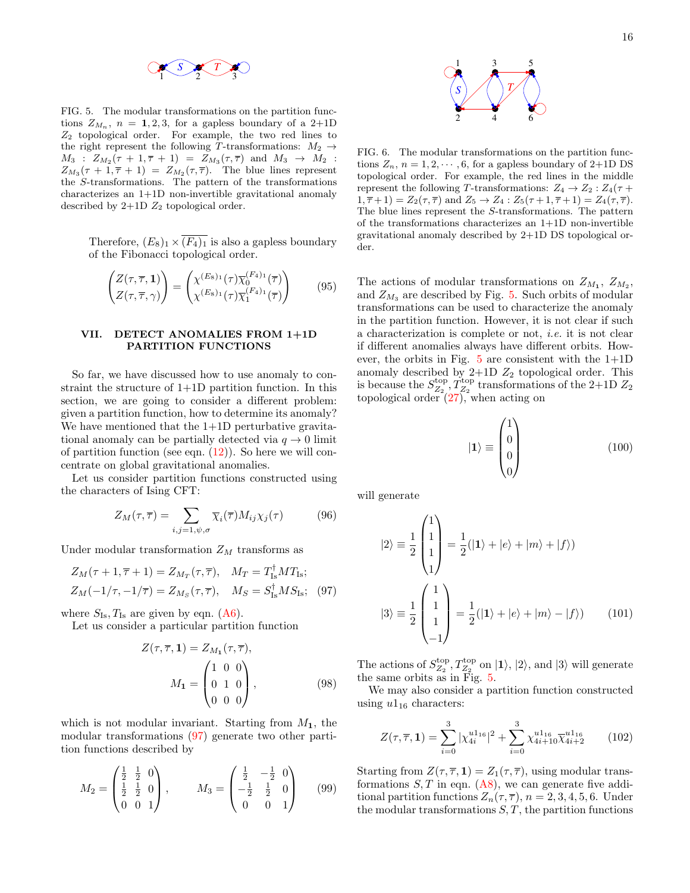

<span id="page-15-2"></span>FIG. 5. The modular transformations on the partition functions  $Z_{M_n}$ ,  $n = 1, 2, 3$ , for a gapless boundary of a 2+1D  $Z_2$  topological order. For example, the two red lines to the right represent the following T-transformations:  $M_2$   $\rightarrow$  $M_3$  :  $Z_{M_2}(\tau + 1, \overline{\tau} + 1) = Z_{M_3}(\tau, \overline{\tau})$  and  $M_3 \rightarrow M_2$  :  $Z_{M_3}(\tau + 1, \overline{\tau} + 1) = Z_{M_2}(\tau, \overline{\tau}).$  The blue lines represent the S-transformations. The pattern of the transformations characterizes an 1+1D non-invertible gravitational anomaly described by  $2+1D$   $Z_2$  topological order.

Therefore,  $(E_8)_1 \times \overline{(F_4)_1}$  is also a gapless boundary of the Fibonacci topological order.

$$
\begin{pmatrix} Z(\tau,\overline{\tau},1) \\ Z(\tau,\overline{\tau},\gamma) \end{pmatrix} = \begin{pmatrix} \chi^{(E_8)_1}(\tau)\overline{\chi}_0^{(F_4)_1}(\overline{\tau}) \\ \chi^{(E_8)_1}(\tau)\overline{\chi}_1^{(F_4)_1}(\overline{\tau}) \end{pmatrix} \tag{95}
$$

## <span id="page-15-0"></span>VII. DETECT ANOMALIES FROM 1+1D PARTITION FUNCTIONS

So far, we have discussed how to use anomaly to constraint the structure of 1+1D partition function. In this section, we are going to consider a different problem: given a partition function, how to determine its anomaly? We have mentioned that the 1+1D perturbative gravitational anomaly can be partially detected via  $q \to 0$  limit of partition function (see eqn.  $(12)$ ). So here we will concentrate on global gravitational anomalies.

Let us consider partition functions constructed using the characters of Ising CFT:

$$
Z_M(\tau,\overline{\tau}) = \sum_{i,j=1,\psi,\sigma} \overline{\chi}_i(\overline{\tau}) M_{ij} \chi_j(\tau) \tag{96}
$$

Under modular transformation  $Z_M$  transforms as

$$
Z_M(\tau+1, \overline{\tau}+1) = Z_{M_T}(\tau, \overline{\tau}), \quad M_T = T_{\text{Is}}^{\dagger} M T_{\text{Is}};
$$
  

$$
Z_M(-1/\tau, -1/\overline{\tau}) = Z_{M_S}(\tau, \overline{\tau}), \quad M_S = S_{\text{Is}}^{\dagger} M S_{\text{Is}}; \quad (97)
$$

where  $S_{\text{Is}}, T_{\text{Is}}$  are given by eqn. [\(A6\)](#page-16-3).

Let us consider a particular partition function

$$
Z(\tau, \overline{\tau}, 1) = Z_{M_1}(\tau, \overline{\tau}),
$$

$$
M_1 = \begin{pmatrix} 1 & 0 & 0 \\ 0 & 1 & 0 \\ 0 & 0 & 0 \end{pmatrix},
$$
(98)

which is not modular invariant. Starting from  $M_1$ , the modular transformations [\(97\)](#page-15-1) generate two other partition functions described by

$$
M_2 = \begin{pmatrix} \frac{1}{2} & \frac{1}{2} & 0 \\ \frac{1}{2} & \frac{1}{2} & 0 \\ 0 & 0 & 1 \end{pmatrix}, \qquad M_3 = \begin{pmatrix} \frac{1}{2} & -\frac{1}{2} & 0 \\ -\frac{1}{2} & \frac{1}{2} & 0 \\ 0 & 0 & 1 \end{pmatrix} \qquad (99)
$$



<span id="page-15-3"></span>FIG. 6. The modular transformations on the partition functions  $Z_n$ ,  $n = 1, 2, \dots, 6$ , for a gapless boundary of 2+1D DS topological order. For example, the red lines in the middle represent the following T-transformations:  $Z_4 \rightarrow Z_2 : Z_4(\tau +$  $1, \overline{\tau} + 1$  =  $Z_2(\tau, \overline{\tau})$  and  $Z_5 \to Z_4 : Z_5(\tau + 1, \overline{\tau} + 1) = Z_4(\tau, \overline{\tau})$ . The blue lines represent the S-transformations. The pattern of the transformations characterizes an 1+1D non-invertible gravitational anomaly described by 2+1D DS topological order.

 $\begin{array}{c} \begin{array}{c} \begin{array}{c} \begin{array}{c} \begin{array}{c} \begin{array}{c} \end{array} \\ \begin{array}{c} \end{array} \\ \begin{array}{c} \end{array} \\ \begin{array}{c} \end{array} \\ \begin{array}{c} \end{array} \\ \begin{array}{c} \end{array} \\ \begin{array}{c} \end{array} \\ \end{array} \\ \begin{array}{c} \end{array} \\ \begin{array}{c} \end{array} \\ \begin{array}{c} \end{array} \\ \begin{array}{c} \end{array} \\ \begin{array}{c} \end{array} \\ \begin{array}{c} \end{array} \\ \begin{array}{c} \end{$ The actions of modular transformations on  $Z_{M_1}$ ,  $Z_{M_2}$ , and  $Z_{M_3}$  are described by Fig. [5.](#page-15-2) Such orbits of modular transformations can be used to characterize the anomaly in the partition function. However, it is not clear if such a characterization is complete or not, i.e. it is not clear if different anomalies always have different orbits. However, the orbits in Fig.  $5$  are consistent with the  $1+1D$ anomaly described by  $2+1D$   $Z_2$  topological order. This is because the  $S_{Z_2}^{\text{top}}, T_{Z_2}^{\text{top}}$  transformations of the 2+1D  $Z_2$ topological order  $(27)$ , when acting on

$$
|\mathbf{1}\rangle \equiv \begin{pmatrix} 1 \\ 0 \\ 0 \\ 0 \end{pmatrix} \tag{100}
$$

will generate

$$
|2\rangle \equiv \frac{1}{2} \begin{pmatrix} 1 \\ 1 \\ 1 \\ 1 \end{pmatrix} = \frac{1}{2} (|1\rangle + |e\rangle + |m\rangle + |f\rangle)
$$

$$
|3\rangle \equiv \frac{1}{2} \begin{pmatrix} 1 \\ 1 \\ 1 \\ -1 \end{pmatrix} = \frac{1}{2} (|1\rangle + |e\rangle + |m\rangle - |f\rangle) \tag{101}
$$

<span id="page-15-1"></span>The actions of  $S_{Z_2}^{\text{top}}, T_{Z_2}^{\text{top}}$  on  $|1\rangle, |2\rangle$ , and  $|3\rangle$  will generate the same orbits as in Fig. [5.](#page-15-2)

We may also consider a partition function constructed using  $u1_{16}$  characters:

$$
Z(\tau,\overline{\tau},\mathbf{1}) = \sum_{i=0}^{3} |\chi_{4i}^{u1_{16}}|^2 + \sum_{i=0}^{3} \chi_{4i+10}^{u1_{16}} \overline{\chi}_{4i+2}^{u1_{16}} \qquad (102)
$$

Starting from  $Z(\tau, \overline{\tau}, 1) = Z_1(\tau, \overline{\tau})$ , using modular transformations  $S, T$  in eqn. [\(A8\)](#page-17-5), we can generate five additional partition functions  $Z_n(\tau, \overline{\tau})$ ,  $n = 2, 3, 4, 5, 6$ . Under the modular transformations  $S, T$ , the partition functions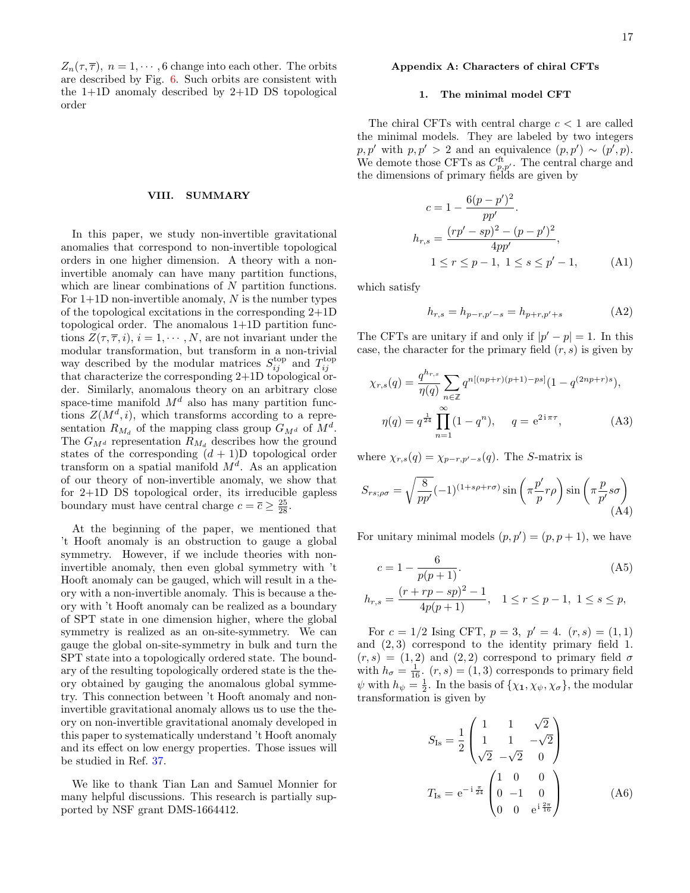$Z_n(\tau, \overline{\tau})$ ,  $n = 1, \dots, 6$  change into each other. The orbits are described by Fig. [6.](#page-15-3) Such orbits are consistent with the 1+1D anomaly described by 2+1D DS topological order

#### <span id="page-16-0"></span>VIII. SUMMARY

In this paper, we study non-invertible gravitational anomalies that correspond to non-invertible topological orders in one higher dimension. A theory with a noninvertible anomaly can have many partition functions, which are linear combinations of N partition functions. For  $1+1D$  non-invertible anomaly, N is the number types of the topological excitations in the corresponding 2+1D topological order. The anomalous 1+1D partition functions  $Z(\tau, \overline{\tau}, i)$ ,  $i = 1, \dots, N$ , are not invariant under the modular transformation, but transform in a non-trivial way described by the modular matrices  $S_{ij}^{top}$  and  $T_{ij}^{top}$ that characterize the corresponding 2+1D topological order. Similarly, anomalous theory on an arbitrary close space-time manifold  $M<sup>d</sup>$  also has many partition functions  $Z(M^d, i)$ , which transforms according to a representation  $R_{M_d}$  of the mapping class group  $G_{M^d}$  of  $M^d$ . The  $G_{M^d}$  representation  $R_{M_d}$  describes how the ground states of the corresponding  $(d + 1)D$  topological order transform on a spatial manifold  $M<sup>d</sup>$ . As an application of our theory of non-invertible anomaly, we show that for 2+1D DS topological order, its irreducible gapless boundary must have central charge  $c = \overline{c} \ge \frac{25}{28}$ .

At the beginning of the paper, we mentioned that 't Hooft anomaly is an obstruction to gauge a global symmetry. However, if we include theories with noninvertible anomaly, then even global symmetry with 't Hooft anomaly can be gauged, which will result in a theory with a non-invertible anomaly. This is because a theory with 't Hooft anomaly can be realized as a boundary of SPT state in one dimension higher, where the global symmetry is realized as an on-site-symmetry. We can gauge the global on-site-symmetry in bulk and turn the SPT state into a topologically ordered state. The boundary of the resulting topologically ordered state is the theory obtained by gauging the anomalous global symmetry. This connection between 't Hooft anomaly and noninvertible gravitational anomaly allows us to use the theory on non-invertible gravitational anomaly developed in this paper to systematically understand 't Hooft anomaly and its effect on low energy properties. Those issues will be studied in Ref. [37.](#page-21-36)

We like to thank Tian Lan and Samuel Monnier for many helpful discussions. This research is partially supported by NSF grant DMS-1664412.

### <span id="page-16-1"></span>Appendix A: Characters of chiral CFTs

#### <span id="page-16-2"></span>1. The minimal model CFT

The chiral CFTs with central charge  $c < 1$  are called the minimal models. They are labeled by two integers  $p, p'$  with  $p, p' > 2$  and an equivalence  $(p, p') \sim (p', p)$ . We demote those CFTs as  $C_{p,p'}^{\text{ft}}$ . The central charge and the dimensions of primary fields are given by

$$
c = 1 - \frac{6(p - p')^{2}}{pp'}
$$
  
\n
$$
h_{r,s} = \frac{(rp' - sp)^{2} - (p - p')^{2}}{4pp'},
$$
  
\n
$$
1 \le r \le p - 1, \ 1 \le s \le p' - 1,
$$
 (A1)

which satisfy

$$
h_{r,s} = h_{p-r,p'-s} = h_{p+r,p'+s}
$$
 (A2)

The CFTs are unitary if and only if  $|p'-p|=1$ . In this case, the character for the primary field  $(r, s)$  is given by

$$
\chi_{r,s}(q) = \frac{q^{h_{r,s}}}{\eta(q)} \sum_{n \in \mathbb{Z}} q^{n[(np+r)(p+1)-ps]} (1 - q^{(2np+r)s}),
$$
  

$$
\eta(q) = q^{\frac{1}{24}} \prod_{n=1}^{\infty} (1 - q^n), \qquad q = e^{2i\pi\tau},
$$
 (A3)

where  $\chi_{r,s}(q) = \chi_{p-r,p'-s}(q)$ . The S-matrix is

$$
S_{rs;\rho\sigma} = \sqrt{\frac{8}{pp'}} (-1)^{(1+s\rho+r\sigma)} \sin\left(\pi \frac{p'}{p} r\rho\right) \sin\left(\pi \frac{p}{p'} s\sigma\right)
$$
(A4)

For unitary minimal models  $(p, p') = (p, p + 1)$ , we have

<span id="page-16-4"></span>
$$
c = 1 - \frac{6}{p(p+1)}.\t(A5)
$$

$$
h_{r,s} = \frac{(r+rp-sp)^2 - 1}{4p(p+1)}, \quad 1 \le r \le p-1, \ 1 \le s \le p,
$$

For  $c = 1/2$  Ising CFT,  $p = 3$ ,  $p' = 4$ .  $(r, s) = (1, 1)$ and (2, 3) correspond to the identity primary field 1.  $(r, s) = (1, 2)$  and  $(2, 2)$  correspond to primary field  $\sigma$ with  $h_{\sigma} = \frac{1}{16}$ .  $(r, s) = (1, 3)$  corresponds to primary field  $\psi$  with  $h_{\psi} = \frac{1}{2}$ . In the basis of  $\{\chi_1, \chi_{\psi}, \chi_{\sigma}\}\)$ , the modular transformation is given by

<span id="page-16-3"></span>
$$
S_{\text{Is}} = \frac{1}{2} \begin{pmatrix} 1 & 1 & \sqrt{2} \\ 1 & 1 & -\sqrt{2} \\ \sqrt{2} & -\sqrt{2} & 0 \end{pmatrix}
$$

$$
T_{\text{Is}} = e^{-i\frac{\pi}{24}} \begin{pmatrix} 1 & 0 & 0 \\ 0 & -1 & 0 \\ 0 & 0 & e^{i\frac{2\pi}{16}} \end{pmatrix}
$$
(A6)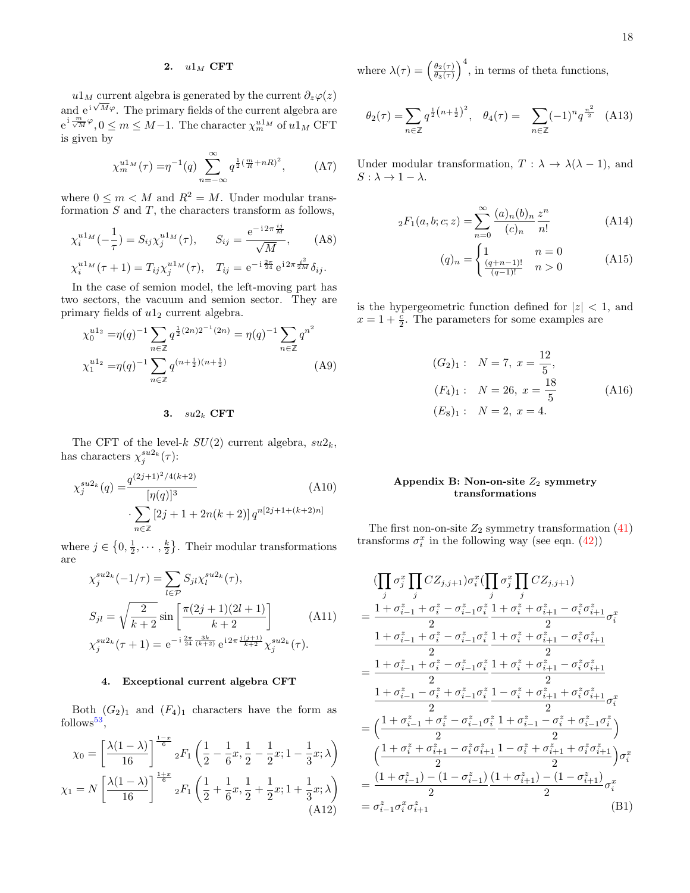# <span id="page-17-0"></span>2.  $u1_M$  CFT

 $u1_M$  current algebra is generated by the current  $\partial_z\varphi(z)$ and  $e^{i\sqrt{M}\varphi}$ . The primary fields of the current algebra are  $e^{i \frac{m}{\sqrt{M}} \varphi}, 0 \leq m \leq M-1$ . The character  $\chi_m^{u1_M}$  of  $u1_M$  CFT is given by

$$
\chi_m^{u1_M}(\tau) = \eta^{-1}(q) \sum_{n=-\infty}^{\infty} q^{\frac{1}{2}(\frac{m}{R} + nR)^2},
$$
 (A7)

where  $0 \leq m < M$  and  $R^2 = M$ . Under modular transformation  $S$  and  $T$ , the characters transform as follows,

$$
\chi_i^{u1_M}(-\frac{1}{\tau}) = S_{ij}\chi_j^{u1_M}(\tau), \qquad S_{ij} = \frac{e^{-i2\pi \frac{ij}{M}}}{\sqrt{M}}, \qquad (A8)
$$

$$
\chi_i^{u1_M}(\tau + 1) = T_{ij}\chi_j^{u1_M}(\tau), \quad T_{ij} = e^{-i\frac{2\pi}{24}}e^{i2\pi \frac{i^2}{2M}}\delta_{ij}.
$$

In the case of semion model, the left-moving part has two sectors, the vacuum and semion sector. They are primary fields of  $u1_2$  current algebra.

$$
\chi_0^{u1_2} = \eta(q)^{-1} \sum_{n \in \mathbb{Z}} q^{\frac{1}{2}(2n)2^{-1}(2n)} = \eta(q)^{-1} \sum_{n \in \mathbb{Z}} q^{n^2}
$$
  

$$
\chi_1^{u1_2} = \eta(q)^{-1} \sum_{n \in \mathbb{Z}} q^{(n + \frac{1}{2})(n + \frac{1}{2})} \tag{A9}
$$

### <span id="page-17-1"></span>3.  $su2_k$  CFT

The CFT of the level-k  $SU(2)$  current algebra,  $su2_k$ , has characters  $\chi_j^{su2_k}(\tau)$ :

$$
\chi_j^{su2_k}(q) = \frac{q^{(2j+1)^2/4(k+2)}}{[\eta(q)]^3} \tag{A10}
$$
\n
$$
\cdot \sum_{n \in \mathbb{Z}} [2j+1+2n(k+2)] q^{n[2j+1+(k+2)n]}
$$

where  $j \in \left\{0, \frac{1}{2}, \cdots, \frac{k}{2}\right\}$ . Their modular transformations are

$$
\chi_j^{su2_k}(-1/\tau) = \sum_{l \in \mathcal{P}} S_{jl} \chi_l^{su2_k}(\tau),
$$
  
\n
$$
S_{jl} = \sqrt{\frac{2}{k+2}} \sin\left[\frac{\pi(2j+1)(2l+1)}{k+2}\right]
$$
 (A11)  
\n
$$
\chi_j^{su2_k}(\tau+1) = e^{-i\frac{2\pi}{24}\frac{3k}{(k+2)}} e^{i2\pi \frac{j(j+1)}{k+2}} \chi_j^{su2_k}(\tau).
$$

### <span id="page-17-2"></span>4. Exceptional current algebra CFT

Both  $(G_2)_1$  and  $(F_4)_1$  characters have the form as  $follows<sup>53</sup>$  $follows<sup>53</sup>$  $follows<sup>53</sup>$ ,

$$
\chi_0 = \left[\frac{\lambda(1-\lambda)}{16}\right]^{\frac{1-x}{6}} {}_2F_1\left(\frac{1}{2} - \frac{1}{6}x, \frac{1}{2} - \frac{1}{2}x; 1 - \frac{1}{3}x; \lambda\right)
$$

$$
\chi_1 = N\left[\frac{\lambda(1-\lambda)}{16}\right]^{\frac{1+x}{6}} {}_2F_1\left(\frac{1}{2} + \frac{1}{6}x, \frac{1}{2} + \frac{1}{2}x; 1 + \frac{1}{3}x; \lambda\right)
$$
(A12)

where  $\lambda(\tau) = \left(\frac{\theta_2(\tau)}{\theta_2(\tau)}\right)$  $\frac{\theta_2(\tau)}{\theta_3(\tau)}\right)^4$ , in terms of theta functions,

$$
\theta_2(\tau) = \sum_{n \in \mathbb{Z}} q^{\frac{1}{2}(n + \frac{1}{2})^2}, \quad \theta_4(\tau) = \sum_{n \in \mathbb{Z}} (-1)^n q^{\frac{n^2}{2}} \quad (A13)
$$

<span id="page-17-5"></span><span id="page-17-4"></span>Under modular transformation,  $T : \lambda \to \lambda(\lambda - 1)$ , and  $S: \lambda \to 1 - \lambda$ .

$$
{}_2F_1(a, b; c; z) = \sum_{n=0}^{\infty} \frac{(a)_n (b)_n}{(c)_n} \frac{z^n}{n!}
$$
 (A14)

$$
(q)_n = \begin{cases} 1 & n = 0\\ \frac{(q+n-1)!}{(q-1)!} & n > 0 \end{cases}
$$
 (A15)

is the hypergeometric function defined for  $|z| < 1$ , and  $x = 1 + \frac{c}{2}$ . The parameters for some examples are

$$
(G_2)_1: N = 7, x = \frac{12}{5},
$$
  
\n
$$
(F_4)_1: N = 26, x = \frac{18}{5}
$$
  
\n
$$
(E_8)_1: N = 2, x = 4.
$$
\n(A16)

### <span id="page-17-3"></span>Appendix B: Non-on-site  $Z_2$  symmetry transformations

The first non-on-site  $Z_2$  symmetry transformation  $(41)$ transforms  $\sigma_i^x$  in the following way (see eqn. [\(42\)](#page-8-6))

$$
\begin{split} &\langle \prod_j \sigma_j^x \prod_j CZ_{j,j+1} \rangle \sigma_i^x (\prod_j \sigma_j^x \prod_j CZ_{j,j+1}) \\ &= \frac{1+\sigma_{i-1}^z+\sigma_i^z-\sigma_{i-1}^z \sigma_i^z}{2} \frac{1+\sigma_i^z+\sigma_{i+1}^z-\sigma_i^z \sigma_{i+1}^z}{2} \sigma_i^x \\ &\frac{1+\sigma_{i-1}^z+\sigma_i^z-\sigma_{i-1}^z \sigma_i^z}{2} \frac{1+\sigma_i^z+\sigma_{i+1}^z-\sigma_i^z \sigma_{i+1}^z}{2} \\ &= \frac{1+\sigma_{i-1}^z+\sigma_i^z-\sigma_{i-1}^z \sigma_i^z}{2} \frac{1+\sigma_i^z+\sigma_{i+1}^z-\sigma_i^z \sigma_{i+1}^z}{2} \\ &\frac{1+\sigma_{i-1}^z-\sigma_i^z+\sigma_{i-1}^z \sigma_i^z}{2} \frac{1-\sigma_i^z+\sigma_{i+1}^z+\sigma_i^z \sigma_{i+1}^z}{2} \sigma_i^x \\ &= \left(\frac{1+\sigma_{i-1}^z+\sigma_i^z-\sigma_{i-1}^z \sigma_i^z}{2} \frac{1+\sigma_{i-1}^z-\sigma_i^z+\sigma_{i-1}^z \sigma_i^z}{2}\right) \\ &\left(\frac{1+\sigma_i^z+\sigma_{i+1}^z-\sigma_i^z \sigma_{i+1}^z}{2} \right) \sigma_i^x \\ &= \frac{(1+\sigma_{i-1}^z)-(1-\sigma_{i-1}^z)}{2} \frac{(1+\sigma_{i+1}^z)-(1-\sigma_{i+1}^z)}{2} \sigma_i^x \\ &= \sigma_{i-1}^z \sigma_i^x \sigma_{i+1}^z \end{split} \qquad (B1)
$$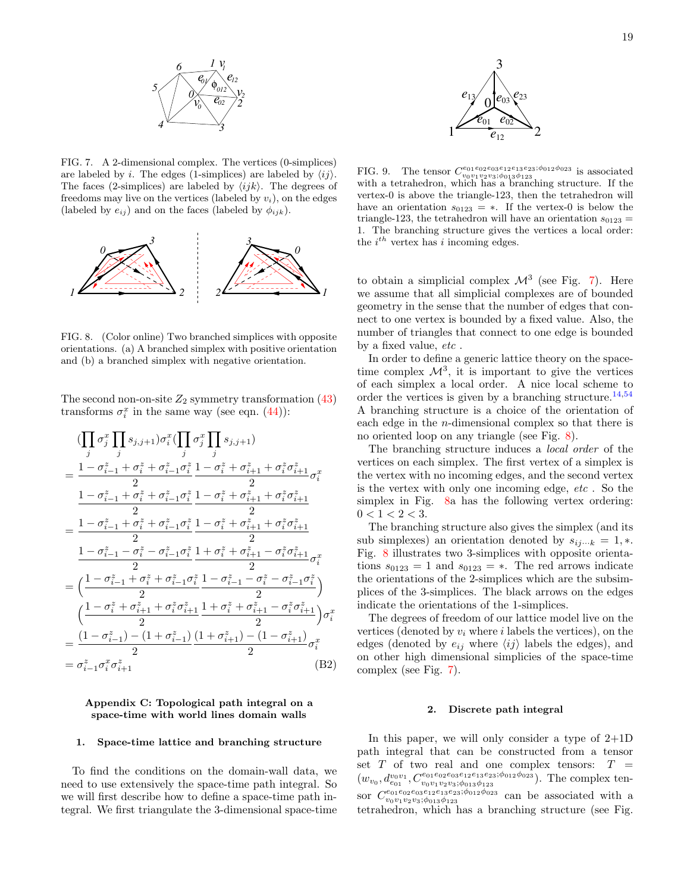

<span id="page-18-3"></span>FIG. 7. A 2-dimensional complex. The vertices (0-simplices) are labeled by i. The edges (1-simplices) are labeled by  $\langle ij \rangle$ . The faces (2-simplices) are labeled by  $\langle ijk \rangle$ . The degrees of freedoms may live on the vertices (labeled by  $v_i$ ), on the edges (labeled by  $e_{ij}$ ) and on the faces (labeled by  $\phi_{ijk}$ ).



<span id="page-18-4"></span>FIG. 8. (Color online) Two branched simplices with opposite orientations. (a) A branched simplex with positive orientation and (b) a branched simplex with negative orientation.

The second non-on-site  $Z_2$  symmetry transformation  $(43)$ transforms  $\sigma_i^x$  in the same way (see eqn. [\(44\)](#page-8-7)):

$$
\begin{split} &\qquad\qquad (\prod_j \sigma_j^x \prod_j s_{j,j+1}) \sigma_i^x (\prod_j \sigma_j^x \prod_j s_{j,j+1}) \\ & = \frac{1-\sigma_{i-1}^z+\sigma_i^z+\sigma_{i-1}^z \sigma_i^z}{2} \frac{1-\sigma_i^z+\sigma_{i+1}^z+\sigma_i^z \sigma_{i+1}^z}{2} \sigma_i^x \\ & \qquad \qquad \frac{1-\sigma_{i-1}^z+\sigma_i^z+\sigma_{i-1}^z \sigma_i^z}{2} \frac{1-\sigma_i^z+\sigma_{i+1}^z+\sigma_i^z \sigma_{i+1}^z}{2} \\ & = \frac{1-\sigma_{i-1}^z+\sigma_i^z+\sigma_{i-1}^z \sigma_i^z}{2} \frac{1-\sigma_i^z+\sigma_{i+1}^z+\sigma_i^z \sigma_{i+1}^z}{2} \\ & \qquad \qquad \frac{1-\sigma_{i-1}^z-\sigma_i^z-\sigma_{i-1}^z \sigma_i^z}{2} \frac{1+\sigma_i^z+\sigma_{i+1}^z-\sigma_i^z \sigma_{i+1}^z}{2} \sigma_i^x \\ & = \left( \frac{1-\sigma_{i-1}^z+\sigma_i^z+\sigma_{i-1}^z \sigma_i^z}{2} \frac{1-\sigma_{i-1}^z-\sigma_i^z-\sigma_{i-1}^z \sigma_i^z}{2} \right) \\ & \qquad \qquad \left( \frac{1-\sigma_i^z+\sigma_{i+1}^z+\sigma_i^z \sigma_{i+1}^z}{2} \frac{1+\sigma_i^z+\sigma_{i+1}^z-\sigma_i^z \sigma_{i+1}^z}{2} \right) \sigma_i^x \\ & = \frac{(1-\sigma_{i-1}^z)-(1+\sigma_{i-1}^z)}{2} \frac{(1+\sigma_{i-1}^z)-(1-\sigma_{i+1}^z)}{2} \sigma_i^x \\ & = \sigma_{i-1}^z \sigma_i^x \sigma_{i+1}^z \end{split} \tag{B2}
$$

### <span id="page-18-0"></span>Appendix C: Topological path integral on a space-time with world lines domain walls

#### <span id="page-18-1"></span>1. Space-time lattice and branching structure

To find the conditions on the domain-wall data, we need to use extensively the space-time path integral. So we will first describe how to define a space-time path integral. We first triangulate the 3-dimensional space-time



<span id="page-18-5"></span>FIG. 9. The tensor  $C_{202}^{e_{01}e_{02}e_{03}e_{12}e_{13}e_{23};\phi_{012}\phi_{023}}$  is associated video  $\sum_{v_0v_1v_2v_3;\phi_{013}\phi_{123}$  is associated<br>with a tetrahedron, which has a branching structure. If the vertex-0 is above the triangle-123, then the tetrahedron will have an orientation  $s_{0123} = *$ . If the vertex-0 is below the triangle-123, the tetrahedron will have an orientation  $s_{0123} =$ 1. The branching structure gives the vertices a local order: the  $i^{th}$  vertex has i incoming edges.

to obtain a simplicial complex  $\mathcal{M}^3$  (see Fig. [7\)](#page-18-3). Here we assume that all simplicial complexes are of bounded geometry in the sense that the number of edges that connect to one vertex is bounded by a fixed value. Also, the number of triangles that connect to one edge is bounded by a fixed value, etc.

In order to define a generic lattice theory on the spacetime complex  $\mathcal{M}^3$ , it is important to give the vertices of each simplex a local order. A nice local scheme to order the vertices is given by a branching structure.<sup>[14](#page-21-12)[,54](#page-21-50)</sup> A branching structure is a choice of the orientation of each edge in the n-dimensional complex so that there is no oriented loop on any triangle (see Fig. [8\)](#page-18-4).

The branching structure induces a local order of the vertices on each simplex. The first vertex of a simplex is the vertex with no incoming edges, and the second vertex is the vertex with only one incoming edge, etc . So the simplex in Fig. [8a](#page-18-4) has the following vertex ordering:  $0 < 1 < 2 < 3$ .

The branching structure also gives the simplex (and its sub simplexes) an orientation denoted by  $s_{ij\cdots k} = 1, *$ . Fig. [8](#page-18-4) illustrates two 3-simplices with opposite orientations  $s_{0123} = 1$  and  $s_{0123} = *$ . The red arrows indicate the orientations of the 2-simplices which are the subsimplices of the 3-simplices. The black arrows on the edges indicate the orientations of the 1-simplices.

The degrees of freedom of our lattice model live on the vertices (denoted by  $v_i$  where i labels the vertices), on the edges (denoted by  $e_{ij}$  where  $\langle ij \rangle$  labels the edges), and on other high dimensional simplicies of the space-time complex (see Fig. [7\)](#page-18-3).

#### <span id="page-18-2"></span>2. Discrete path integral

In this paper, we will only consider a type of 2+1D path integral that can be constructed from a tensor set  $T$  of two real and one complex tensors:  $T =$  $(w_{v_0}, d_{e_{01}}^{v_0v_1}, C_{v_0v_1v_2v_3;\phi_{013}\phi_{123}}^{e_{01}e_{02}e_{13}e_{23};\phi_{012}\phi_{023}})$ . The complex tensor  $C_{v_0v_1v_2v_3;\phi_{013}\phi_{123}}^{e_{01}e_{02}e_{13}e_{23};\phi_{012}\phi_{023}}$  can be associated with a tetrahedron, which has a branching structure (see Fig.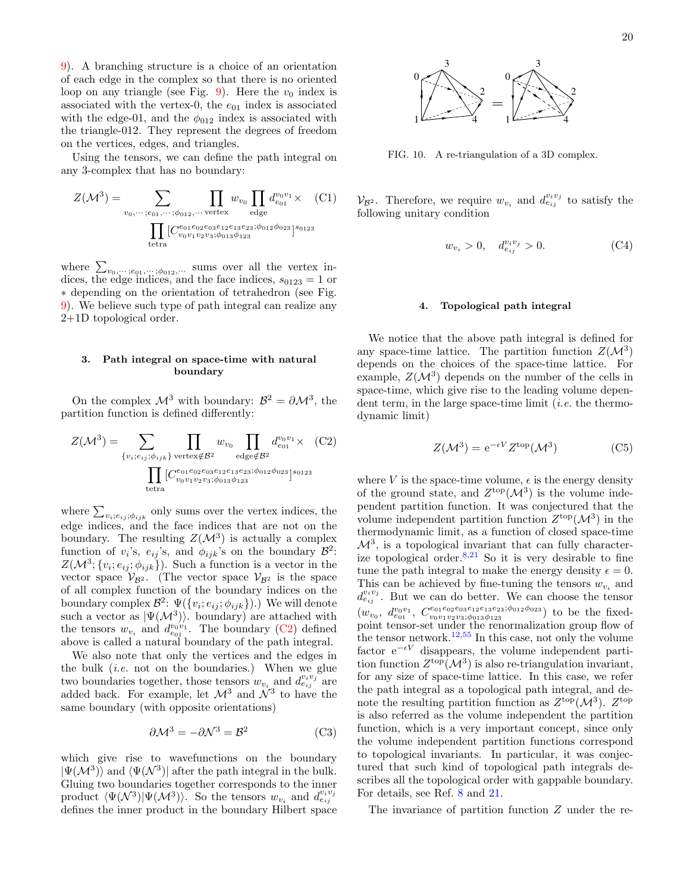[9\)](#page-18-5). A branching structure is a choice of an orientation of each edge in the complex so that there is no oriented loop on any triangle (see Fig. [9\)](#page-18-5). Here the  $v_0$  index is associated with the vertex-0, the  $e_{01}$  index is associated with the edge-01, and the  $\phi_{012}$  index is associated with the triangle-012. They represent the degrees of freedom on the vertices, edges, and triangles.

Using the tensors, we can define the path integral on any 3-complex that has no boundary:

$$
Z(\mathcal{M}^3) = \sum_{v_0, \dots; e_{01}, \dots; \phi_{012}, \dots \text{ vertex}} \prod_{\text{edge}} w_{v_0} \prod_{\text{edge}} d_{e_{01}}^{v_0 v_1} \times (C1)
$$

$$
\prod_{\text{tetra}} [C_{v_0 v_1 v_2 v_3; \phi_{013} \phi_{123}}^{e_{13} e_{13} e_{23}; \phi_{012} \phi_{023}]^{s_{0123}}
$$

where  $\sum_{v_0,\dots,v_{01},\dots,v_{012},\dots}$  sums over all the vertex indices, the edge indices, and the face indices,  $s_{0123} = 1$  or ∗ depending on the orientation of tetrahedron (see Fig. [9\)](#page-18-5). We believe such type of path integral can realize any 2+1D topological order.

### <span id="page-19-0"></span>3. Path integral on space-time with natural boundary

On the complex  $\mathcal{M}^3$  with boundary:  $\mathcal{B}^2 = \partial \mathcal{M}^3$ , the partition function is defined differently:

$$
Z(\mathcal{M}^3) = \sum_{\{v_i; e_{ij}; \phi_{ijk}\}} \prod_{\text{vertex} \notin \mathcal{B}^2} w_{v_0} \prod_{\text{edge} \notin \mathcal{B}^2} d_{e_{01}}^{v_0 v_1} \times (C2)
$$

$$
\prod_{\text{tetra}} [C_{v_0 v_1 v_2 v_3; \phi_{013} \phi_{123}}^{e_{01} e_{02} e_{03} e_{12} e_{13} e_{23}; \phi_{012} \phi_{023}]^{s_{0123}}
$$

where  $\sum_{v_i; e_{ij}$ ; $\phi_{ijk}}$  only sums over the vertex indices, the edge indices, and the face indices that are not on the boundary. The resulting  $Z(\mathcal{M}^3)$  is actually a complex function of  $v_i$ 's,  $e_{ij}$ 's, and  $\phi_{ijk}$ 's on the boundary  $\mathcal{B}^2$ :  $Z(\mathcal{M}^3; \{v_i; e_{ij}; \phi_{ijk}\})$ . Such a function is a vector in the vector space  $\mathcal{V}_{\mathcal{B}^2}$ . (The vector space  $\mathcal{V}_{\mathcal{B}^2}$  is the space of all complex function of the boundary indices on the boundary complex  $\mathcal{B}^2$ :  $\Psi(\lbrace v_i; e_{ij}; \phi_{ijk} \rbrace)$ .) We will denote such a vector as  $|\Psi(M^3)\rangle$ . boundary) are attached with the tensors  $w_{v_i}$  and  $d_{e_{01}}^{v_0v_1}$ . The boundary [\(C2\)](#page-19-2) defined above is called a natural boundary of the path integral. d each edge middes of the interest is oriented by the interest in the inner product is the transposed of with the were set, the  $\alpha_0$  in the interest in the boundary Hilbert space of the boundary Hilbert space of the bou

We also note that only the vertices and the edges in the bulk  $(i.e.$  not on the boundaries.) When we glue two boundaries together, those tensors  $w_{v_i}$  and  $d_{e_{ij}}^{v_i v_j}$  are added back. For example, let  $\mathcal{M}^3$  and  $\mathcal{N}^3$  to have the same boundary (with opposite orientations)

$$
\partial \mathcal{M}^3 = -\partial \mathcal{N}^3 = \mathcal{B}^2 \tag{C3}
$$

which give rise to wavefunctions on the boundary  $|\Psi(\mathcal{M}^3)\rangle$  and  $\langle \Psi(\mathcal{N}^3)|$  after the path integral in the bulk. Gluing two boundaries together corresponds to the inner product  $\langle \Psi(\mathcal{N}^3)|\Psi(\mathcal{M}^3)\rangle$ . So the tensors  $w_{v_i}$  and  $d_{e_{ij}}^{v_iv_j}$ 



<span id="page-19-3"></span>FIG. 10. A re-triangulation of a 3D complex.

 $\mathcal{V}_{\mathcal{B}^2}$ . Therefore, we require  $w_{v_i}$  and  $d_{e_{ij}}^{v_iv_j}$  to satisfy the following unitary condition

$$
w_{v_i} > 0, \quad d_{e_{ij}}^{v_i v_j} > 0.
$$
 (C4)

#### <span id="page-19-1"></span>4. Topological path integral

We notice that the above path integral is defined for any space-time lattice. The partition function  $Z(\mathcal{M}^3)$ depends on the choices of the space-time lattice. For example,  $Z(M^3)$  depends on the number of the cells in space-time, which give rise to the leading volume dependent term, in the large space-time limit  $(i.e.$  the thermodynamic limit)

$$
Z(\mathcal{M}^3) = e^{-\epsilon V} Z^{\text{top}}(\mathcal{M}^3)
$$
 (C5)

<span id="page-19-2"></span>where V is the space-time volume,  $\epsilon$  is the energy density of the ground state, and  $Z^{\text{top}}(\mathcal{M}^3)$  is the volume independent partition function. It was conjectured that the volume independent partition function  $Z^{\text{top}}(\mathcal{M}^3)$  in the thermodynamic limit, as a function of closed space-time  $\mathcal{M}^3$ , is a topological invariant that can fully characterize topological order. $8,21$  $8,21$  So it is very desirable to fine tune the path integral to make the energy density  $\epsilon = 0$ . This can be achieved by fine-tuning the tensors  $w_{v_i}$  and  $d_{e_{ij}}^{v_iv_j}$ . But we can do better. We can choose the tensor  $(w_{v_0}, d_{e_{01}}^{v_0v_1}, C_{v_0v_1v_2v_3;\phi_{013}\phi_{123}}^{e_{01}e_{02}e_{03}e_{12}e_{13}e_{23};\phi_{012}\phi_{023})$  to be the fixedpoint tensor-set under the renormalization group flow of the tensor network.<sup>[12,](#page-21-11)[55](#page-21-51)</sup> In this case, not only the volume factor  $e^{-\epsilon V}$  disappears, the volume independent partition function  $Z^{\text{top}}(\mathcal{M}^3)$  is also re-triangulation invariant, for any size of space-time lattice. In this case, we refer the path integral as a topological path integral, and denote the resulting partition function as  $Z^{\text{top}}(\mathcal{M}^3)$ .  $Z^{\text{top}}$ is also referred as the volume independent the partition function, which is a very important concept, since only the volume independent partition functions correspond to topological invariants. In particular, it was conjectured that such kind of topological path integrals describes all the topological order with gappable boundary. For details, see Ref. [8](#page-21-15) and [21.](#page-21-20)

The invariance of partition function Z under the re-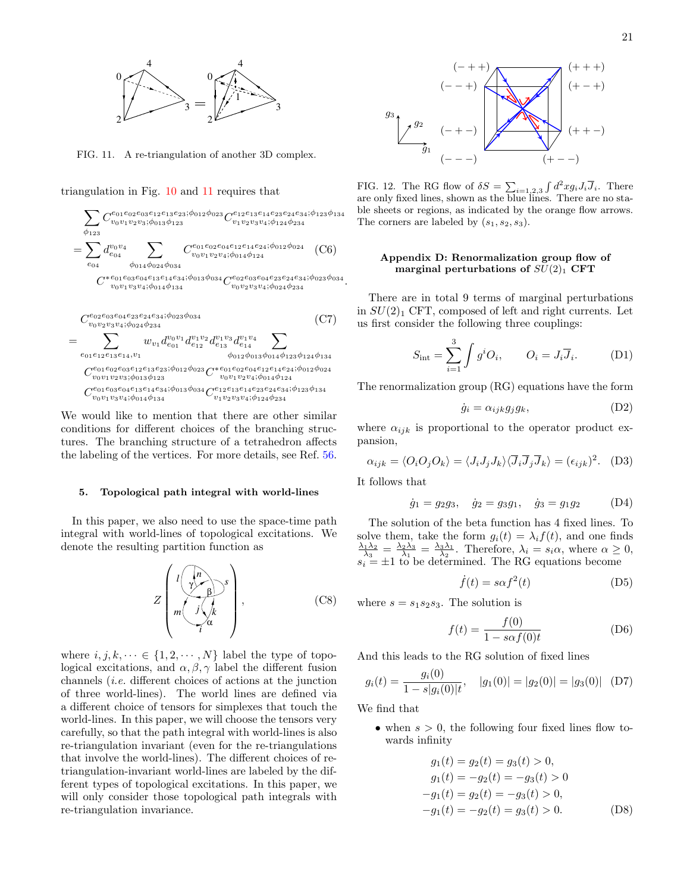

<span id="page-20-2"></span>FIG. 11. A re-triangulation of another 3D complex.

triangulation in Fig. [10](#page-19-3) and [11](#page-20-2) requires that

$$
\sum_{\phi_{123}} C_{v_0v_1v_2v_3;\phi_{013}\phi_{123}}^{e_{01}e_{02}e_{03}e_{12}e_{13}e_{23};\phi_{012}\phi_{023}} C_{v_1v_2v_3v_4;\phi_{124}\phi_{234}}^{e_{12}e_{13}e_{14}e_{23}e_{24}e_{34};\phi_{123}\phi_{134}}
$$
\n
$$
= \sum_{e_{04}} d_{e_{04}}^{v_0v_4} \sum_{\phi_{014}\phi_{024}\phi_{034}} C_{v_0v_1v_2v_4;\phi_{014}\phi_{124}}^{e_{01}e_{02}e_{04}e_{12}e_{14}e_{24};\phi_{012}\phi_{024}} (C6)
$$
\n
$$
C^*^{e_{01}e_{03}e_{04}e_{13}e_{14}e_{34};\phi_{013}\phi_{034} C_{v_0v_2v_3v_4;\phi_{024}\phi_{234}}^{e_{02}e_{03}e_{04}e_{23}e_{24}e_{34};\phi_{023}\phi_{034}}
$$
\n
$$
C_{v_0v_2v_3v_4;\phi_{024}\phi_{234}}^{e_{01}e_{024}e_{23}e_{24}e_{34};\phi_{023}\phi_{034}} (C7)
$$
\n
$$
= \sum_{e_{01}e_{12}e_{13}e_{14},v_1} w_1 d_{e_{01}}^{v_0v_1} d_{e_{12}}^{v_1v_2} d_{e_{13}}^{v_1v_3} d_{e_{14}}^{v_1v_4}
$$
\n
$$
C_{v_0v_1v_2v_3;\phi_{013}\phi_{123}}^{e_{01}e_{02}e_{03}e_{12}e_{13}e_{23};\phi_{012}\phi_{023} C^*e_{01}e_{02}e_{04}e_{12}e_{14}e_{24};\phi_{012}\phi_{024}
$$

 $C^{e_{01}e_{03}e_{04}e_{13}e_{14}e_{34};\phi_{013}\phi_{034}}_{v_{12}v_{13}v_{214};\phi_{014}\phi_{134}}$  $v_0v_1v_3v_4;\! \phi_{014}\phi_{134}$  $\mathcal{C}_{0}^{(n)}$  $e_{12}e_{13}e_{14}e_{23}e_{24}e_{34};\phi_{123}\phi_{134}$  $v_1v_2v_3v_4;\phi_{124}\phi_{234}$ 

We would like to mention that there are other similar conditions for different choices of the branching structures. The branching structure of a tetrahedron affects the labeling of the vertices. For more details, see Ref. [56.](#page-22-0)

#### <span id="page-20-0"></span>5. Topological path integral with world-lines

In this paper, we also need to use the space-time path integral with world-lines of topological excitations. We denote the resulting partition function as



where  $i, j, k, \dots \in \{1, 2, \dots, N\}$  label the type of topological excitations, and  $\alpha, \beta, \gamma$  label the different fusion channels (i.e. different choices of actions at the junction of three world-lines). The world lines are defined via a different choice of tensors for simplexes that touch the world-lines. In this paper, we will choose the tensors very carefully, so that the path integral with world-lines is also re-triangulation invariant (even for the re-triangulations that involve the world-lines). The different choices of retriangulation-invariant world-lines are labeled by the different types of topological excitations. In this paper, we will only consider those topological path integrals with re-triangulation invariance.



<span id="page-20-3"></span>FIG. 12. The RG flow of  $\delta S = \sum_{i=1,2,3} \int d^2x g_i J_i \overline{J}_i$ . There are only fixed lines, shown as the blue lines. There are no stable sheets or regions, as indicated by the orange flow arrows. The corners are labeled by  $(s_1, s_2, s_3)$ .

### <span id="page-20-1"></span>Appendix D: Renormalization group flow of marginal perturbations of  $SU(2)_1$  CFT

There are in total 9 terms of marginal perturbations in  $SU(2)_1$  CFT, composed of left and right currents. Let us first consider the following three couplings:

$$
S_{\rm int} = \sum_{i=1}^{3} \int g^i O_i, \qquad O_i = J_i \overline{J}_i.
$$
 (D1)

The renormalization group (RG) equations have the form

$$
\dot{g}_i = \alpha_{ijk} g_j g_k, \tag{D2}
$$

where  $\alpha_{ijk}$  is proportional to the operator product expansion,

$$
\alpha_{ijk} = \langle O_i O_j O_k \rangle = \langle J_i J_j J_k \rangle \langle \overline{J}_i \overline{J}_j \overline{J}_k \rangle = (\epsilon_{ijk})^2. \quad (D3)
$$

It follows that

.

$$
\dot{g}_1 = g_2 g_3, \quad \dot{g}_2 = g_3 g_1, \quad \dot{g}_3 = g_1 g_2
$$
 (D4)

The solution of the beta function has 4 fixed lines. To solve them, take the form  $g_i(t) = \lambda_i f(t)$ , and one finds  $\frac{\lambda_1 \lambda_2}{\lambda_3} = \frac{\lambda_2 \lambda_3}{\lambda_1} = \frac{\lambda_3 \lambda_1}{\lambda_2}$ . Therefore,  $\lambda_i = s_i \alpha$ , where  $\alpha \geq 0$ ,  $s_i = \pm 1$  to be determined. The RG equations become

$$
\dot{f}(t) = s\alpha f^2(t) \tag{D5}
$$

where  $s = s_1 s_2 s_3$ . The solution is

$$
f(t) = \frac{f(0)}{1 - s\alpha f(0)t}
$$
 (D6)

And this leads to the RG solution of fixed lines

$$
g_i(t) = \frac{g_i(0)}{1 - s|g_i(0)|t}, \quad |g_1(0)| = |g_2(0)| = |g_3(0)| \quad (D7)
$$

We find that

• when  $s > 0$ , the following four fixed lines flow towards infinity

$$
g_1(t) = g_2(t) = g_3(t) > 0,
$$
  
\n
$$
g_1(t) = -g_2(t) = -g_3(t) > 0
$$
  
\n
$$
-g_1(t) = g_2(t) = -g_3(t) > 0,
$$
  
\n
$$
-g_1(t) = -g_2(t) = g_3(t) > 0.
$$
 (D8)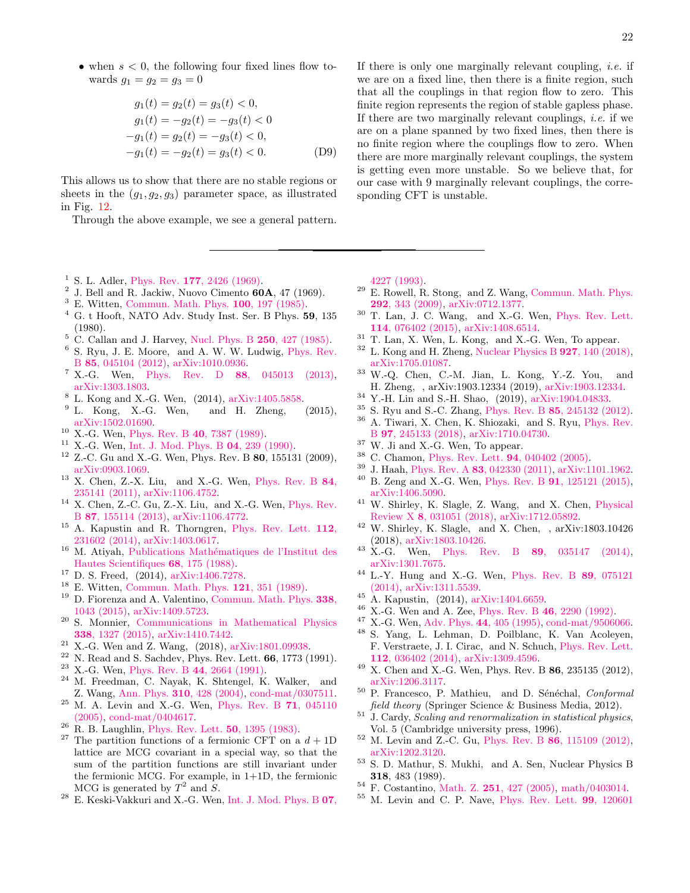• when  $s < 0$ , the following four fixed lines flow towards  $g_1 = g_2 = g_3 = 0$ 

$$
g_1(t) = g_2(t) = g_3(t) < 0,
$$
  
\n
$$
g_1(t) = -g_2(t) = -g_3(t) < 0
$$
  
\n
$$
-g_1(t) = g_2(t) = -g_3(t) < 0,
$$
  
\n
$$
-g_1(t) = -g_2(t) = g_3(t) < 0.
$$
 (D9)

This allows us to show that there are no stable regions or sheets in the  $(q_1, q_2, q_3)$  parameter space, as illustrated in Fig. [12.](#page-20-3)

<span id="page-21-0"></span>Through the above example, we see a general pattern.

- <span id="page-21-1"></span><sup>1</sup> S. L. Adler, Phys. Rev.  $177, 2426$  (1969).
- <span id="page-21-2"></span> $^2$  J. Bell and R. Jackiw, Nuovo Cimento 60A, 47 (1969).
- <span id="page-21-3"></span><sup>3</sup> E. Witten, [Commun. Math. Phys.](http://dx.doi.org/10.1007/bf01212448) 100, 197 (1985).
- <span id="page-21-4"></span><sup>4</sup> G. t Hooft, NATO Adv. Study Inst. Ser. B Phys. 59, 135 (1980).
- <span id="page-21-5"></span><sup>5</sup> C. Callan and J. Harvey, [Nucl. Phys. B](http://dx.doi.org/10.1016/0550-3213(85)90489-4) 250, 427 (1985).
- <span id="page-21-6"></span><sup>6</sup> S. Ryu, J. E. Moore, and A. W. W. Ludwig, [Phys. Rev.](http://dx.doi.org/10.1103/physrevb.85.045104) B 85[, 045104 \(2012\),](http://dx.doi.org/10.1103/physrevb.85.045104) [arXiv:1010.0936.](http://arxiv.org/abs/arXiv:1010.0936)
- <span id="page-21-7"></span><sup>7</sup> X.-G. Wen, Phys. Rev. D  $88$ [, 045013 \(2013\),](http://dx.doi.org/10.1103/physrevd.88.045013) [arXiv:1303.1803.](http://arxiv.org/abs/arXiv:1303.1803)
- <span id="page-21-15"></span> $8\,$  L. Kong and X.-G. Wen, (2014), [arXiv:1405.5858.](http://arxiv.org/abs/arXiv:1405.5858)
- <span id="page-21-8"></span> $9$  L. Kong, X.-G. Wen, and H. Zheng,  $(2015)$ , [arXiv:1502.01690.](http://arxiv.org/abs/1502.01690)
- <span id="page-21-9"></span><sup>10</sup> X.-G. Wen, Phys. Rev. B 40[, 7387 \(1989\).](http://dx.doi.org/10.1103/physrevb.40.7387)
- <span id="page-21-10"></span><sup>11</sup> X.-G. Wen, [Int. J. Mod. Phys. B](http://dx.doi.org/10.1142/s0217979290000139) 04, 239 (1990).
- <span id="page-21-11"></span> $12$  Z.-C. Gu and X.-G. Wen, Phys. Rev. B 80, 155131 (2009), [arXiv:0903.1069.](http://arxiv.org/abs/arXiv:0903.1069)
- <span id="page-21-45"></span><sup>13</sup> X. Chen, Z.-X. Liu, and X.-G. Wen, [Phys. Rev. B](http://dx.doi.org/10.1103/physrevb.84.235141) 84, [235141 \(2011\),](http://dx.doi.org/10.1103/physrevb.84.235141) [arXiv:1106.4752.](http://arxiv.org/abs/arXiv:1106.4752)
- <span id="page-21-12"></span><sup>14</sup> X. Chen, Z.-C. Gu, Z.-X. Liu, and X.-G. Wen, [Phys. Rev.](http://dx.doi.org/10.1103/physrevb.87.155114) B 87[, 155114 \(2013\),](http://dx.doi.org/10.1103/physrevb.87.155114) [arXiv:1106.4772.](http://arxiv.org/abs/arXiv:1106.4772)
- <span id="page-21-13"></span><sup>15</sup> A. Kapustin and R. Thorngren, [Phys. Rev. Lett.](http://dx.doi.org/10.1103/physrevlett.112.231602) 112, [231602 \(2014\),](http://dx.doi.org/10.1103/physrevlett.112.231602) [arXiv:1403.0617.](http://arxiv.org/abs/arXiv:1403.0617)
- <span id="page-21-14"></span> $^{16}$  M. Atiyah, Publications Mathématiques de l'Institut des [Hautes Scientifiques](http://dx.doi.org/10.1007/bf02698547) 68, 175 (1988).
- <span id="page-21-16"></span><sup>17</sup> D. S. Freed, (2014), [arXiv:1406.7278.](http://arxiv.org/abs/arXiv:1406.7278)
- <span id="page-21-17"></span><sup>18</sup> E. Witten, [Commun. Math. Phys.](http://dx.doi.org/10.1007/bf01217730) **121**, 351 (1989).
- <span id="page-21-18"></span><sup>19</sup> D. Fiorenza and A. Valentino, [Commun. Math. Phys.](http://dx.doi.org/10.1007/s00220-015-2371-3) 338, [1043 \(2015\),](http://dx.doi.org/10.1007/s00220-015-2371-3) [arXiv:1409.5723.](http://arxiv.org/abs/arXiv:1409.5723)
- <span id="page-21-19"></span><sup>20</sup> S. Monnier, [Communications in Mathematical Physics](http://dx.doi.org/10.1007/s00220-015-2369-x) 338[, 1327 \(2015\),](http://dx.doi.org/10.1007/s00220-015-2369-x) [arXiv:1410.7442.](http://arxiv.org/abs/1410.7442)
- <span id="page-21-20"></span> $21$  X.-G. Wen and Z. Wang, (2018), [arXiv:1801.09938.](http://arxiv.org/abs/1801.09938)
- <span id="page-21-21"></span> $^{22}$  N. Read and S. Sachdev, Phys. Rev. Lett.  $66$ , 1773 (1991).
- <span id="page-21-22"></span><sup>23</sup> X.-G. Wen, Phys. Rev. B 44[, 2664 \(1991\).](http://dx.doi.org/10.1103/physrevb.44.2664)<br><sup>24</sup> M. Expediment C. Naval, K. Sktoprel, K.
- <span id="page-21-23"></span>M. Freedman, C. Nayak, K. Shtengel, K. Walker, and Z. Wang, Ann. Phys. 310[, 428 \(2004\),](http://dx.doi.org/ 10.1016/j.aop.2004.01.006) [cond-mat/0307511.](http://arxiv.org/abs/cond-mat/0307511)
- <span id="page-21-24"></span> $25$  M. A. Levin and X.-G. Wen, [Phys. Rev. B](http://dx.doi.org/10.1103/physrevb.71.045110)  $71$ , 045110 [\(2005\),](http://dx.doi.org/10.1103/physrevb.71.045110) [cond-mat/0404617.](http://arxiv.org/abs/cond-mat/0404617)
- <span id="page-21-25"></span><sup>26</sup> R. B. Laughlin, [Phys. Rev. Lett.](http://dx.doi.org/10.1103/physrevlett.50.1395) **50**, 1395 (1983).
- <span id="page-21-26"></span>The partition functions of a fermionic CFT on a  $d + 1D$ lattice are MCG covariant in a special way, so that the sum of the partition functions are still invariant under the fermionic MCG. For example, in 1+1D, the fermionic MCG is generated by  $T^2$  and  $S$ .
- <span id="page-21-27"></span>E. Keski-Vakkuri and X.-G. Wen, [Int. J. Mod. Phys. B](http://dx.doi.org/10.1142/s0217979293003644) 07,

If there is only one marginally relevant coupling, *i.e.* if we are on a fixed line, then there is a finite region, such that all the couplings in that region flow to zero. This finite region represents the region of stable gapless phase. If there are two marginally relevant couplings, *i.e.* if we are on a plane spanned by two fixed lines, then there is no finite region where the couplings flow to zero. When there are more marginally relevant couplings, the system is getting even more unstable. So we believe that, for our case with 9 marginally relevant couplings, the corresponding CFT is unstable.

[4227 \(1993\).](http://dx.doi.org/10.1142/s0217979293003644)

- <span id="page-21-28"></span><sup>29</sup> E. Rowell, R. Stong, and Z. Wang, [Commun. Math. Phys.](http://dx.doi.org/10.1007/s00220-009-0908-z) 292[, 343 \(2009\),](http://dx.doi.org/10.1007/s00220-009-0908-z) [arXiv:0712.1377.](http://arxiv.org/abs/arXiv:0712.1377)
- <span id="page-21-29"></span><sup>30</sup> T. Lan, J. C. Wang, and X.-G. Wen, [Phys. Rev. Lett.](http://dx.doi.org/10.1103/physrevlett.114.076402) 114[, 076402 \(2015\),](http://dx.doi.org/10.1103/physrevlett.114.076402) [arXiv:1408.6514.](http://arxiv.org/abs/arXiv:1408.6514)
- <span id="page-21-30"></span><sup>31</sup> T. Lan, X. Wen, L. Kong, and X.-G. Wen, To appear.
- <span id="page-21-31"></span> $32$  L. Kong and H. Zheng, [Nuclear Physics B](http://dx.doi.org/ 10.1016/j.nuclphysb.2017.12.007)  $927$ , 140 (2018), [arXiv:1705.01087.](http://arxiv.org/abs/1705.01087)
- <span id="page-21-32"></span><sup>33</sup> W.-Q. Chen, C.-M. Jian, L. Kong, Y.-Z. You, and H. Zheng, , arXiv:1903.12334 (2019), [arXiv:1903.12334.](http://arxiv.org/abs/1903.12334)
- <span id="page-21-33"></span><sup>34</sup> Y.-H. Lin and S.-H. Shao, (2019), [arXiv:1904.04833.](http://arxiv.org/abs/1904.04833)
- <span id="page-21-34"></span><sup>35</sup> S. Ryu and S.-C. Zhang, Phys. Rev. B 85[, 245132 \(2012\).](http://dx.doi.org/10.1103/physrevb.85.245132)
- <span id="page-21-35"></span><sup>36</sup> A. Tiwari, X. Chen, K. Shiozaki, and S. Ryu, [Phys. Rev.](http://dx.doi.org/10.1103/PhysRevB.97.245133) B 97[, 245133 \(2018\),](http://dx.doi.org/10.1103/PhysRevB.97.245133) [arXiv:1710.04730.](http://arxiv.org/abs/1710.04730)
- <span id="page-21-36"></span> $^{37}$  W. Ji and X.-G. Wen, To appear.
- <span id="page-21-37"></span><sup>38</sup> C. Chamon, [Phys. Rev. Lett.](http://dx.doi.org/10.1103/physrevlett.94.040402) 94, 040402 (2005).
- <sup>39</sup> J. Haah, Phys. Rev. A 83[, 042330 \(2011\),](http://dx.doi.org/10.1103/physreva.83.042330) [arXiv:1101.1962.](http://arxiv.org/abs/arXiv:1101.1962)
- <sup>40</sup> B. Zeng and X.-G. Wen, Phys. Rev. B 91[, 125121 \(2015\),](http://dx.doi.org/10.1103/physrevb.91.125121) [arXiv:1406.5090.](http://arxiv.org/abs/arXiv:1406.5090)
- <sup>41</sup> W. Shirley, K. Slagle, Z. Wang, and X. Chen, [Physical](http://dx.doi.org/ 10.1103/PhysRevX.8.031051) Review X 8[, 031051 \(2018\),](http://dx.doi.org/ 10.1103/PhysRevX.8.031051) [arXiv:1712.05892.](http://arxiv.org/abs/1712.05892)
- <span id="page-21-38"></span><sup>42</sup> W. Shirley, K. Slagle, and X. Chen, , arXiv:1803.10426 (2018), [arXiv:1803.10426.](http://arxiv.org/abs/1803.10426)
- <span id="page-21-39"></span> $43$  X.-G. Wen, Phys. Rev. B 89[, 035147 \(2014\),](http://dx.doi.org/10.1103/physrevb.89.035147) [arXiv:1301.7675.](http://arxiv.org/abs/arXiv:1301.7675)
- <sup>44</sup> L.-Y. Hung and X.-G. Wen, [Phys. Rev. B](http://dx.doi.org/10.1103/physrevb.89.075121) 89, 075121 [\(2014\),](http://dx.doi.org/10.1103/physrevb.89.075121) [arXiv:1311.5539.](http://arxiv.org/abs/arXiv:1311.5539)
- <span id="page-21-40"></span> $^{45}$  A. Kapustin, (2014), [arXiv:1404.6659.](http://arxiv.org/abs/arXiv:1404.6659)
- <span id="page-21-41"></span><sup>46</sup> X.-G. Wen and A. Zee, Phys. Rev. B 46[, 2290 \(1992\).](http://dx.doi.org/10.1103/physrevb.46.2290)
- <span id="page-21-42"></span><sup>47</sup> X.-G. Wen, Adv. Phys. 44[, 405 \(1995\),](http://dx.doi.org/10.1080/00018739500101566) [cond-mat/9506066.](http://arxiv.org/abs/cond-mat/9506066)
- <span id="page-21-43"></span><sup>48</sup> S. Yang, L. Lehman, D. Poilblanc, K. Van Acoleyen, F. Verstraete, J. I. Cirac, and N. Schuch, [Phys. Rev. Lett.](http://dx.doi.org/ 10.1103/PhysRevLett.112.036402) 112[, 036402 \(2014\),](http://dx.doi.org/ 10.1103/PhysRevLett.112.036402) [arXiv:1309.4596.](http://arxiv.org/abs/1309.4596)
- <span id="page-21-44"></span> $49$  X. Chen and X.-G. Wen, Phys. Rev. B 86, 235135 (2012), [arXiv:1206.3117.](http://arxiv.org/abs/arXiv:1206.3117)
- <span id="page-21-46"></span><sup>50</sup> P. Francesco, P. Mathieu, and D. Sénéchal, Conformal field theory (Springer Science & Business Media, 2012).
- <span id="page-21-47"></span> $51$  J. Cardy, Scaling and renormalization in statistical physics, Vol. 5 (Cambridge university press, 1996).
- <span id="page-21-48"></span><sup>52</sup> M. Levin and Z.-C. Gu, Phys. Rev. B 86[, 115109 \(2012\),](http://dx.doi.org/10.1103/physrevb.86.115109) [arXiv:1202.3120.](http://arxiv.org/abs/arXiv:1202.3120)
- <span id="page-21-49"></span><sup>53</sup> S. D. Mathur, S. Mukhi, and A. Sen, Nuclear Physics B 318, 483 (1989).
- <span id="page-21-50"></span><sup>54</sup> F. Costantino, Math. Z. 251[, 427 \(2005\),](http://dx.doi.org/10.1007/s00209-005-0810-0) [math/0403014.](http://arxiv.org/abs/math/0403014)
- <span id="page-21-51"></span><sup>55</sup> M. Levin and C. P. Nave, [Phys. Rev. Lett.](http://dx.doi.org/10.1103/physrevlett.99.120601) 99, 120601